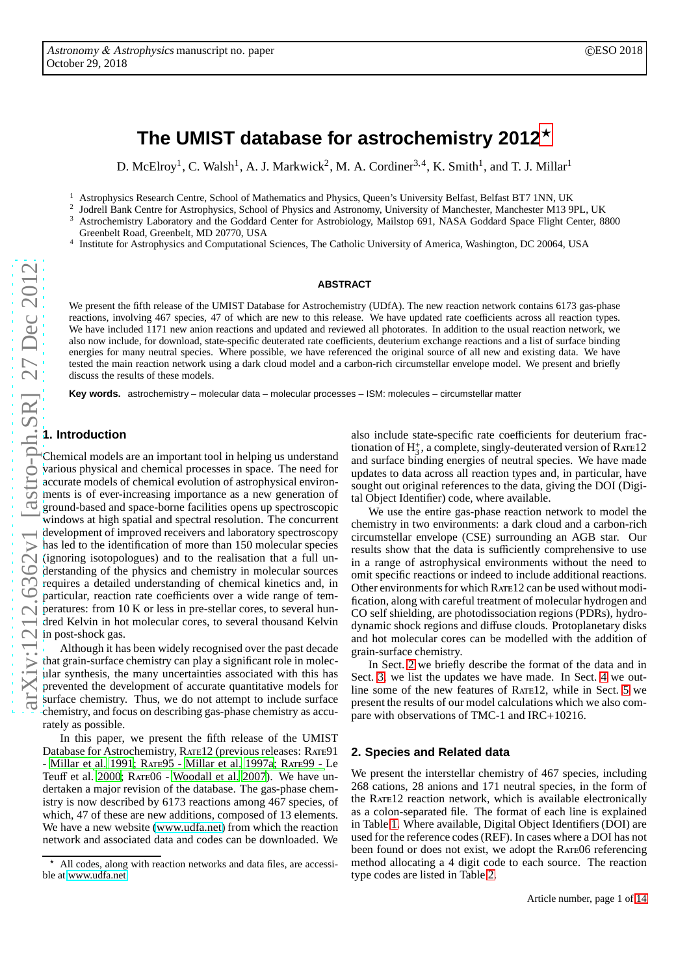# **The UMIST database for astrochemistry 2012**<sup>⋆</sup>

D. McElroy<sup>1</sup>, C. Walsh<sup>1</sup>, A. J. Markwick<sup>2</sup>, M. A. Cordiner<sup>3,4</sup>, K. Smith<sup>1</sup>, and T. J. Millar<sup>1</sup>

<sup>1</sup> Astrophysics Research Centre, School of Mathematics and Physics, Queen's University Belfast, Belfast BT7 1NN, UK

2 Jodrell Bank Centre for Astrophysics, School of Physics and Astronomy, University of Manchester, Manchester M13 9PL, UK

<sup>3</sup> Astrochemistry Laboratory and the Goddard Center for Astrobiology, Mailstop 691, NASA Goddard Space Flight Center, 8800 Greenbelt Road, Greenbelt, MD 20770, USA

4 Institute for Astrophysics and Computational Sciences, The Catholic University of America, Washington, DC 20064, USA

## **ABSTRACT**

We present the fifth release of the UMIST Database for Astrochemistry (UDfA). The new reaction network contains 6173 gas-phase reactions, involving 467 species, 47 of which are new to this release. We have updated rate coefficients across all reaction types. We have included 1171 new anion reactions and updated and reviewed all photorates. In addition to the usual reaction network, we also now include, for download, state-specific deuterated rate coefficients, deuterium exchange reactions and a list of surface binding energies for many neutral species. Where possible, we have referenced the original source of all new and existing data. We have tested the main reaction network using a dark cloud model and a carbon-rich circumstellar envelope model. We present and briefly discuss the results of these models.

**Key words.** astrochemistry – molecular data – molecular processes – ISM: molecules – circumstellar matter

# **1. Introduction**

Chemical models are an important tool in helping us understand various physical and chemical processes in space. The need for accurate models of chemical evolution of astrophysical environments is of ever-increasing importance as a new generation of ground-based and space-borne facilities opens up spectroscopic windows at high spatial and spectral resolution. The concurrent development of improved receivers and laboratory spectroscopy has led to the identification of more than 150 molecular species (ignoring isotopologues) and to the realisation that a full understanding of the physics and chemistry in molecular sources requires a detailed understanding of chemical kinetics and, in particular, reaction rate coefficients over a wide range of temperatures: from 10 K or less in pre-stellar cores, to several hundred Kelvin in hot molecular cores, to several thousand Kelvin in post-shock gas.

Although it has been widely recognised over the past decade that grain-surface chemistry can play a significant role in molecular synthesis, the many uncertainties associated with this has prevented the development of accurate quantitative models for surface chemistry. Thus, we do not attempt to include surface chemistry, and focus on describing gas-phase chemistry as accurately as possible.

In this paper, we present the fifth release of the UMIST Database for Astrochemistry, RATE12 (previous releases: RATE91) - [Millar et al. 1991](#page-11-0); Rate[95 -](#page-11-2) [Millar et al. 1997a](#page-11-1)[; R](#page-11-2)ate99 - Le Teuff et al. [2000](#page-11-2); Rate06 - [Woodall et al. 2007\)](#page-12-0). We have undertaken a major revision of the database. The gas-phase chemistry is now described by 6173 reactions among 467 species, of which, 47 of these are new additions, composed of 13 elements. We have a new website [\(www.udfa.net\)](http://www.udfa.net) from which the reaction network and associated data and codes can be downloaded. We

also include state-specific rate coefficients for deuterium fractionation of  $H_3^+$ , a complete, singly-deuterated version of RATE12 and surface binding energies of neutral species. We have made updates to data across all reaction types and, in particular, have sought out original references to the data, giving the DOI (Digital Object Identifier) code, where available.

We use the entire gas-phase reaction network to model the chemistry in two environments: a dark cloud and a carbon-rich circumstellar envelope (CSE) surrounding an AGB star. Our results show that the data is sufficiently comprehensive to use in a range of astrophysical environments without the need to omit specific reactions or indeed to include additional reactions. Other environments for which Rate12 can be used without modification, along with careful treatment of molecular hydrogen and CO self shielding, are photodissociation regions (PDRs), hydrodynamic shock regions and diffuse clouds. Protoplanetary disks and hot molecular cores can be modelled with the addition of grain-surface chemistry.

In Sect. [2](#page-0-0) we briefly describe the format of the data and in Sect. [3,](#page-2-0) we list the updates we have made. In Sect. [4](#page-3-0) we outline some of the new features of Rate12, while in Sect. [5](#page-4-0) we present the results of our model calculations which we also compare with observations of TMC-1 and IRC+10216.

## <span id="page-0-0"></span>**2. Species and Related data**

We present the interstellar chemistry of 467 species, including 268 cations, 28 anions and 171 neutral species, in the form of the Rate12 reaction network, which is available electronically as a colon-separated file. The format of each line is explained in Table [1.](#page-1-0) Where available, Digital Object Identifiers (DOI) are used for the reference codes (REF). In cases where a DOI has not been found or does not exist, we adopt the RATE06 referencing method allocating a 4 digit code to each source. The reaction type codes are listed in Table [2.](#page-1-1)

<sup>\*</sup> All codes, along with reaction networks and data files, are accessible at [www.udfa.net.](http://www.udfa.net)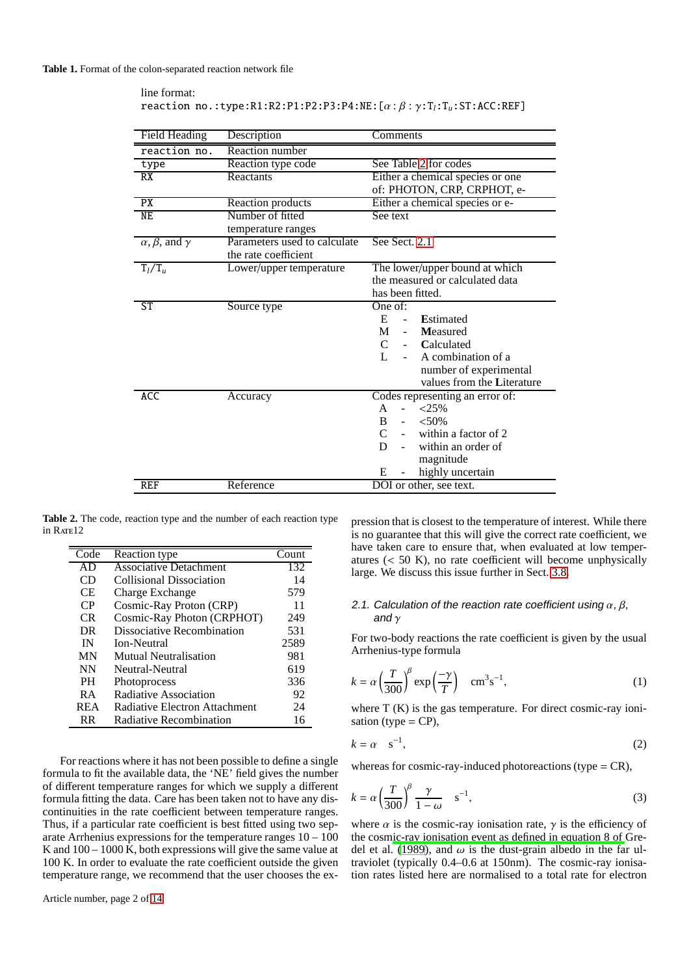| <b>Field Heading</b>              | Description                  | Comments                             |
|-----------------------------------|------------------------------|--------------------------------------|
| reaction no.                      | Reaction number              |                                      |
| type                              | Reaction type code           | See Table 2 for codes                |
| RX                                | Reactants                    | Either a chemical species or one     |
|                                   |                              | of: PHOTON, CRP, CRPHOT, e-          |
| <b>PX</b>                         | Reaction products            | Either a chemical species or e-      |
| NE                                | Number of fitted             | See text                             |
|                                   | temperature ranges           |                                      |
| $\alpha$ , $\beta$ , and $\gamma$ | Parameters used to calculate | See Sect. 2.1                        |
|                                   | the rate coefficient         |                                      |
| $T_l/T_u$                         | Lower/upper temperature      | The lower/upper bound at which       |
|                                   |                              | the measured or calculated data      |
|                                   |                              | has been fitted.                     |
| <b>ST</b>                         | Source type                  | One of:                              |
|                                   |                              | E<br><b>Estimated</b>                |
|                                   |                              | Measured<br>M<br>$\sim 100$          |
|                                   |                              | $\mathcal{C}$<br>- Calculated        |
|                                   |                              | A combination of a<br>$\mathbf{I}$ . |
|                                   |                              | number of experimental               |
|                                   |                              | values from the Literature           |
| <b>ACC</b>                        | Accuracy                     | Codes representing an error of:      |
|                                   |                              | $< 25\%$<br>A                        |
|                                   |                              | $< 50\%$<br>B.<br>÷.                 |
|                                   |                              | within a factor of 2<br>C            |
|                                   |                              | D<br>within an order of              |
|                                   |                              | magnitude                            |
|                                   |                              | highly uncertain<br>E                |
| <b>REF</b>                        | Reference                    | DOI or other, see text.              |

<span id="page-1-0"></span>line format:

reaction no.:type:R1:R2:P1:P2:P3:P4:NE:[α : β : γ:T*l*:T*u*:ST:ACC:REF]

**Table 2.** The code, reaction type and the number of each reaction type in RATE<sub>12</sub>

<span id="page-1-1"></span>

| Code       | Reaction type                  | Count |
|------------|--------------------------------|-------|
| AD         | Associative Detachment         | 132   |
| CD         | Collisional Dissociation       | 14    |
| CE.        | Charge Exchange                | 579   |
| CP.        | Cosmic-Ray Proton (CRP)        | 11    |
| CR.        | Cosmic-Ray Photon (CRPHOT)     | 249   |
| DR         | Dissociative Recombination     | 531   |
| IN         | Ion-Neutral                    | 2589  |
| MN         | Mutual Neutralisation          | 981   |
| <b>NN</b>  | Neutral-Neutral                | 619   |
| <b>PH</b>  | Photoprocess                   | 336   |
| <b>RA</b>  | Radiative Association          | 92    |
| <b>REA</b> | Radiative Electron Attachment  | 24    |
| RR         | <b>Radiative Recombination</b> | 16    |

For reactions where it has not been possible to define a single formula to fit the available data, the 'NE' field gives the number of different temperature ranges for which we supply a different formula fitting the data. Care has been taken not to have any discontinuities in the rate coefficient between temperature ranges. Thus, if a particular rate coefficient is best fitted using two separate Arrhenius expressions for the temperature ranges  $10 - 100$ K and 100 – 1000 K, both expressions will give the same value at 100 K. In order to evaluate the rate coefficient outside the given temperature range, we recommend that the user chooses the expression that is closest to the temperature of interest. While there is no guarantee that this will give the correct rate coefficient, we have taken care to ensure that, when evaluated at low temperatures (< 50 K), no rate coefficient will become unphysically large. We discuss this issue further in Sect. [3.8.](#page-2-1)

## <span id="page-1-2"></span>2.1. Calculation of the reaction rate coefficient using  $\alpha$ ,  $\beta$ , and  $\gamma$

For two-body reactions the rate coefficient is given by the usual Arrhenius-type formula

$$
k = \alpha \left(\frac{T}{300}\right)^{\beta} \exp\left(\frac{-\gamma}{T}\right) \quad \text{cm}^3 \text{s}^{-1},\tag{1}
$$

where  $T(K)$  is the gas temperature. For direct cosmic-ray ionisation (type  $=$  CP),

$$
k = \alpha \quad s^{-1},\tag{2}
$$

whereas for cosmic-ray-induced photoreactions (type = CR),

$$
k = \alpha \left(\frac{T}{300}\right)^{\beta} \frac{\gamma}{1-\omega} \quad s^{-1},\tag{3}
$$

where  $\alpha$  is the cosmic-ray ionisation rate,  $\gamma$  is the efficiency of the cosm[ic-ray ionisation event as defined in equation 8 of](#page-10-0) Gre-del et al. [\(1989\)](#page-10-0), and  $\omega$  is the dust-grain albedo in the far ultraviolet (typically 0.4–0.6 at 150nm). The cosmic-ray ionisation rates listed here are normalised to a total rate for electron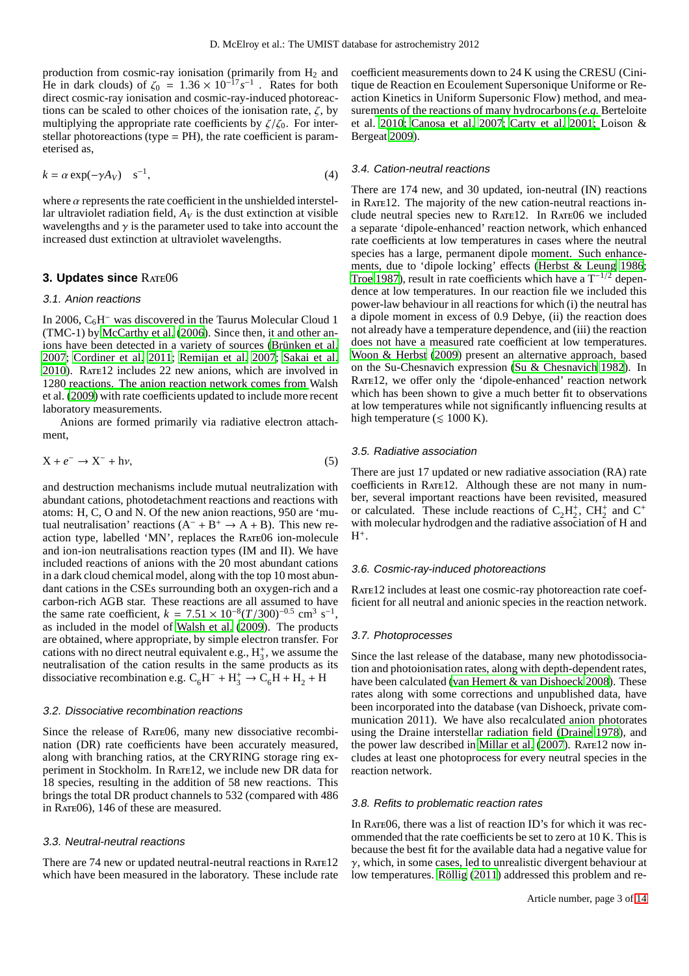production from cosmic-ray ionisation (primarily from  $H_2$  and He in dark clouds) of  $\zeta_0 = 1.36 \times 10^{-17} s^{-1}$ . Rates for both direct cosmic-ray ionisation and cosmic-ray-induced photoreactions can be scaled to other choices of the ionisation rate,  $\zeta$ , by multiplying the appropriate rate coefficients by  $\zeta/\zeta_0$ . For interstellar photoreactions (type  $= PH$ ), the rate coefficient is parameterised as,

$$
k = \alpha \exp(-\gamma A_V) \quad s^{-1}, \tag{4}
$$

where  $\alpha$  represents the rate coefficient in the unshielded interstellar ultraviolet radiation field,  $A_V$  is the dust extinction at visible wavelengths and  $\gamma$  is the parameter used to take into account the increased dust extinction at ultraviolet wavelengths.

## <span id="page-2-0"></span>**3. Updates since RATE06**

## 3.1. Anion reactions

In 2006,  $C_6H^-$  was discovered in the Taurus Molecular Cloud 1 (TMC-1) by [McCarthy et al. \(2006](#page-11-3)). Since then, it and other anions have been detected in a variety of sources [\(Brünken et al.](#page-9-0) [2007;](#page-9-0) [Cordiner et al. 2011](#page-10-1); [Remijan et al. 2007](#page-11-4); [Sakai et al.](#page-11-5) [2010\)](#page-11-5). Rate12 includes 22 new anions, which are involved in 128[0 reactions. The anion reaction network comes from](#page-12-1) Walsh et al. [\(2009](#page-12-1)) with rate coefficients updated to include more recent laboratory measurements.

Anions are formed primarily via radiative electron attachment,

$$
X + e^- \to X^- + h\nu,\tag{5}
$$

and destruction mechanisms include mutual neutralization with abundant cations, photodetachment reactions and reactions with atoms: H, C, O and N. Of the new anion reactions, 950 are 'mutual neutralisation' reactions  $(A^- + B^+ \rightarrow A + B)$ . This new reaction type, labelled 'MN', replaces the RATE06 ion-molecule and ion-ion neutralisations reaction types (IM and II). We have included reactions of anions with the 20 most abundant cations in a dark cloud chemical model, along with the top 10 most abundant cations in the CSEs surrounding both an oxygen-rich and a carbon-rich AGB star. These reactions are all assumed to have the same rate coefficient,  $k = 7.51 \times 10^{-8} (T/300)^{-0.5}$  cm<sup>3</sup> s<sup>-1</sup>, as included in the model of [Walsh et al. \(2009\)](#page-12-1). The products are obtained, where appropriate, by simple electron transfer. For cations with no direct neutral equivalent e.g.,  $H_3^+$ , we assume the neutralisation of the cation results in the same products as its dissociative recombination e.g.  $C_6H^- + H_3^+ \rightarrow C_6H + H_2 + H$ 

#### 3.2. Dissociative recombination reactions

Since the release of RATE06, many new dissociative recombination (DR) rate coefficients have been accurately measured, along with branching ratios, at the CRYRING storage ring experiment in Stockholm. In Rate12, we include new DR data for 18 species, resulting in the addition of 58 new reactions. This brings the total DR product channels to 532 (compared with 486 in RATE06), 146 of these are measured.

#### 3.3. Neutral-neutral reactions

There are 74 new or updated neutral-neutral reactions in RATE12 which have been measured in the laboratory. These include rate coefficient measurements down to 24 K using the CRESU (Cinitique de Reaction en Ecoulement Supersonique Uniforme or Reaction Kinetics in Uniform Supersonic Flow) method, and measure[ments of the reactions of many hydrocarbons \(](#page-9-1)*e.g.* Berteloite et al. [2010;](#page-9-1) [Canosa et al. 2007](#page-9-2)[;](#page-11-6) [Carty et al. 2001](#page-9-3)[;](#page-11-6) Loison & Bergeat [2009\)](#page-11-6).

#### 3.4. Cation-neutral reactions

There are 174 new, and 30 updated, ion-neutral (IN) reactions in Rate12. The majority of the new cation-neutral reactions include neutral species new to RATE12. In RATE06 we included a separate 'dipole-enhanced' reaction network, which enhanced rate coefficients at low temperatures in cases where the neutral species has a large, permanent dipole moment. Such enhancements, due to 'dipole locking' effects [\(Herbst & Leung 1986;](#page-11-7) [Troe 1987\)](#page-12-2), result in rate coefficients which have a  $T^{-1/2}$  dependence at low temperatures. In our reaction file we included this power-law behaviour in all reactions for which (i) the neutral has a dipole moment in excess of 0.9 Debye, (ii) the reaction does not already have a temperature dependence, and (iii) the reaction does not have a measured rate coefficient at low temperatures. [Woon & Herbst \(2009\)](#page-12-3) present an alternative approach, based on the Su-Chesnavich expression [\(Su & Chesnavich 1982](#page-12-4)). In Rate12, we offer only the 'dipole-enhanced' reaction network which has been shown to give a much better fit to observations at low temperatures while not significantly influencing results at high temperature ( $\leq 1000$  K).

## 3.5. Radiative association

There are just 17 updated or new radiative association (RA) rate coefficients in Rate12. Although these are not many in number, several important reactions have been revisited, measured or calculated. These include reactions of  $C_2H_2^+$ ,  $CH_2^+$  and  $C^+$ with molecular hydrodgen and the radiative association of H and  $H^+$ .

### 3.6. Cosmic-ray-induced photoreactions

Rate12 includes at least one cosmic-ray photoreaction rate coefficient for all neutral and anionic species in the reaction network.

#### 3.7. Photoprocesses

Since the last release of the database, many new photodissociation and photoionisation rates, along with depth-dependent rates, have been calculated [\(van Hemert & van Dishoeck 2008](#page-12-5)). These rates along with some corrections and unpublished data, have been incorporated into the database (van Dishoeck, private communication 2011). We have also recalculated anion photorates using the Draine interstellar radiation field [\(Draine 1978\)](#page-10-2), and the power law described in [Millar et al.](#page-11-8) [\(2007\)](#page-11-8). Rate12 now includes at least one photoprocess for every neutral species in the reaction network.

#### <span id="page-2-1"></span>3.8. Refits to problematic reaction rates

In Rate06, there was a list of reaction ID's for which it was recommended that the rate coefficients be set to zero at 10 K. This is because the best fit for the available data had a negative value for  $\gamma$ , which, in some cases, led to unrealistic divergent behaviour at low temperatures. [Röllig \(2011](#page-11-9)) addressed this problem and re-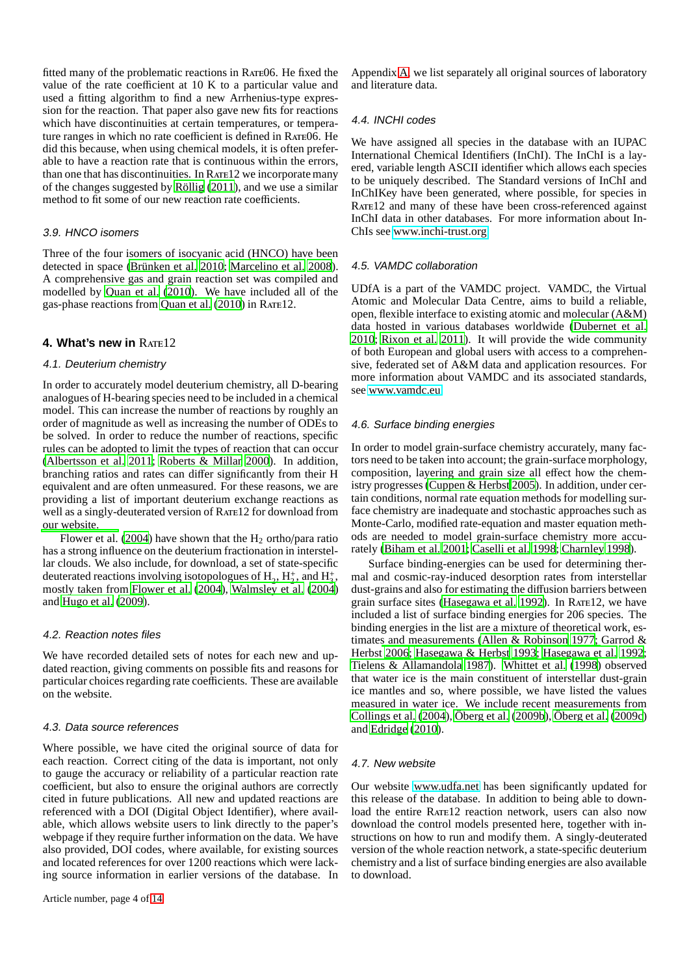fitted many of the problematic reactions in Rate06. He fixed the value of the rate coefficient at 10 K to a particular value and used a fitting algorithm to find a new Arrhenius-type expression for the reaction. That paper also gave new fits for reactions which have discontinuities at certain temperatures, or temperature ranges in which no rate coefficient is defined in Rate06. He did this because, when using chemical models, it is often preferable to have a reaction rate that is continuous within the errors, than one that has discontinuities. In Rate12 we incorporate many of the changes suggested by [Röllig \(2011](#page-11-9)), and we use a similar method to fit some of our new reaction rate coefficients.

## 3.9. HNCO isomers

Three of the four isomers of isocyanic acid (HNCO) have been detected in space [\(Brünken et al. 2010](#page-9-4); [Marcelino et al. 2008](#page-11-10)). A comprehensive gas and grain reaction set was compiled and modelled by [Quan et al. \(2010\)](#page-11-11). We have included all of the gas-phase reactions from [Quan et al. \(2010](#page-11-11)) in Rate12.

# <span id="page-3-0"></span>**4. What's new in RATE12**

## 4.1. Deuterium chemistry

In order to accurately model deuterium chemistry, all D-bearing analogues of H-bearing species need to be included in a chemical model. This can increase the number of reactions by roughly an order of magnitude as well as increasing the number of ODEs to be solved. In order to reduce the number of reactions, specific rules can be adopted to limit the types of reaction that can occur [\(Albertsson et al. 2011](#page-9-5); [Roberts & Millar 2000\)](#page-11-12). In addition, branching ratios and rates can differ significantly from their H equivalent and are often unmeasured. For these reasons, we are providing a list of important deuterium exchange reactions as well as a singly-deuterated version of RATE12 for download from [our website.](#page-10-3)

Flower et al. [\(2004](#page-10-3)) have shown that the  $H_2$  ortho/para ratio has a strong influence on the deuterium fractionation in interstellar clouds. We also include, for download, a set of state-specific deuterated reactions involving isotopologues of  $H_2$ ,  $H_2^+$ , and  $H_3^+$ , mostly taken from Flower et al.  $(2004)$ , [Walmsley et al.](#page-12-6)  $(2004)$ and [Hugo et al.](#page-11-13) [\(2009\)](#page-11-13).

#### 4.2. Reaction notes files

We have recorded detailed sets of notes for each new and updated reaction, giving comments on possible fits and reasons for particular choices regarding rate coefficients. These are available on the website.

#### 4.3. Data source references

Where possible, we have cited the original source of data for each reaction. Correct citing of the data is important, not only to gauge the accuracy or reliability of a particular reaction rate coefficient, but also to ensure the original authors are correctly cited in future publications. All new and updated reactions are referenced with a DOI (Digital Object Identifier), where available, which allows website users to link directly to the paper's webpage if they require further information on the data. We have also provided, DOI codes, where available, for existing sources and located references for over 1200 reactions which were lacking source information in earlier versions of the database. In Appendix [A,](#page-13-0) we list separately all original sources of laboratory and literature data.

## 4.4. INCHI codes

We have assigned all species in the database with an IUPAC International Chemical Identifiers (InChI). The InChI is a layered, variable length ASCII identifier which allows each species to be uniquely described. The Standard versions of InChI and InChIKey have been generated, where possible, for species in Rate12 and many of these have been cross-referenced against InChI data in other databases. For more information about In-ChIs see [www.inchi-trust.org.](http://www.inchi-trust.org)

## 4.5. VAMDC collaboration

UDfA is a part of the VAMDC project. VAMDC, the Virtual Atomic and Molecular Data Centre, aims to build a reliable, open, flexible interface to existing atomic and molecular (A&M) data hosted in various databases worldwide [\(Dubernet et al.](#page-10-4) [2010;](#page-10-4) [Rixon et al. 2011](#page-11-14)). It will provide the wide community of both European and global users with access to a comprehensive, federated set of A&M data and application resources. For more information about VAMDC and its associated standards, see [www.vamdc.eu.](http://www.vamdc.eu)

## 4.6. Surface binding energies

In order to model grain-surface chemistry accurately, many factors need to be taken into account; the grain-surface morphology, composition, layering and grain size all effect how the chemistry progresses [\(Cuppen & Herbst 2005](#page-10-5)). In addition, under certain conditions, normal rate equation methods for modelling surface chemistry are inadequate and stochastic approaches such as Monte-Carlo, modified rate-equation and master equation methods are needed to model grain-surface chemistry more accurately [\(Biham et al. 2001;](#page-9-6) [Caselli et al. 1998](#page-9-7); [Charnley 1998](#page-10-6)).

Surface binding-energies can be used for determining thermal and cosmic-ray-induced desorption rates from interstellar dust-grains and also for estimating the diffusion barriers between grain surface sites [\(Hasegawa et al. 1992](#page-10-7)). In RATE12, we have included a list of surface binding energies for 206 species. The binding energies in the list are a mixture of theoretical work, estimate[s and measurements](#page-10-8) [\(Allen & Robinson 1977;](#page-9-8) Garrod & Herbst [2006](#page-10-8); [Hasegawa & Herbst 1993](#page-10-9); [Hasegawa et al. 1992;](#page-10-7) [Tielens & Allamandola 1987\)](#page-12-7). [Whittet et al.](#page-12-8) [\(1998\)](#page-12-8) observed that water ice is the main constituent of interstellar dust-grain ice mantles and so, where possible, we have listed the values measured in water ice. We include recent measurements from [Collings et al.](#page-10-10) [\(2004\)](#page-10-10), [Öberg et al. \(2009b\)](#page-11-15), [Öberg et al.](#page-11-16) [\(2009c](#page-11-16)) and [Edridge](#page-10-11) [\(2010\)](#page-10-11).

#### 4.7. New website

Our website [www.udfa.net](http://www.udfa.net) has been significantly updated for this release of the database. In addition to being able to download the entire RATE12 reaction network, users can also now download the control models presented here, together with instructions on how to run and modify them. A singly-deuterated version of the whole reaction network, a state-specific deuterium chemistry and a list of surface binding energies are also available to download.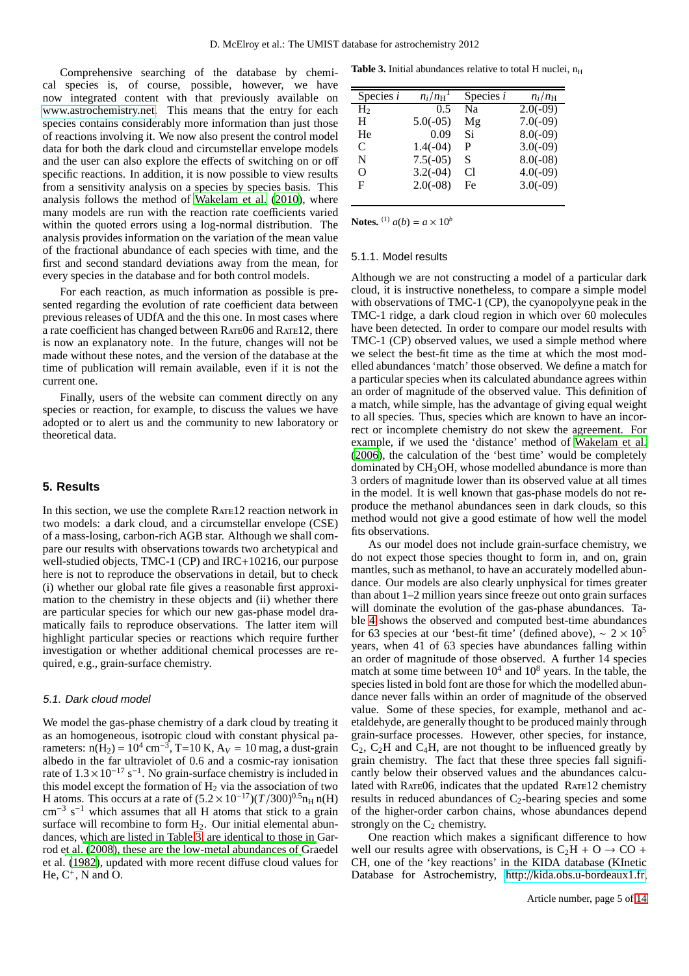Comprehensive searching of the database by chemical species is, of course, possible, however, we have now integrated content with that previously available on [www.astrochemistry.net.](http://www.astrochemistry.net) This means that the entry for each species contains considerably more information than just those of reactions involving it. We now also present the control model data for both the dark cloud and circumstellar envelope models and the user can also explore the effects of switching on or off specific reactions. In addition, it is now possible to view results from a sensitivity analysis on a species by species basis. This analysis follows the method of [Wakelam et al.](#page-12-9) [\(2010\)](#page-12-9), where many models are run with the reaction rate coefficients varied within the quoted errors using a log-normal distribution. The analysis provides information on the variation of the mean value of the fractional abundance of each species with time, and the first and second standard deviations away from the mean, for every species in the database and for both control models.

For each reaction, as much information as possible is presented regarding the evolution of rate coefficient data between previous releases of UDfA and the this one. In most cases where a rate coefficient has changed between RATE06 and RATE12, there is now an explanatory note. In the future, changes will not be made without these notes, and the version of the database at the time of publication will remain available, even if it is not the current one.

Finally, users of the website can comment directly on any species or reaction, for example, to discuss the values we have adopted or to alert us and the community to new laboratory or theoretical data.

#### <span id="page-4-0"></span>**5. Results**

In this section, we use the complete Rate12 reaction network in two models: a dark cloud, and a circumstellar envelope (CSE) of a mass-losing, carbon-rich AGB star. Although we shall compare our results with observations towards two archetypical and well-studied objects, TMC-1 (CP) and IRC+10216, our purpose here is not to reproduce the observations in detail, but to check (i) whether our global rate file gives a reasonable first approximation to the chemistry in these objects and (ii) whether there are particular species for which our new gas-phase model dramatically fails to reproduce observations. The latter item will highlight particular species or reactions which require further investigation or whether additional chemical processes are required, e.g., grain-surface chemistry.

#### 5.1. Dark cloud model

We model the gas-phase chemistry of a dark cloud by treating it as an homogeneous, isotropic cloud with constant physical parameters:  $n(H_2) = 10^4$  cm<sup>-3</sup>, T=10 K, A<sub>V</sub> = 10 mag, a dust-grain albedo in the far ultraviolet of 0.6 and a cosmic-ray ionisation rate of  $1.3 \times 10^{-17}$  s<sup>-1</sup>. No grain-surface chemistry is included in this model except the formation of  $H_2$  via the association of two H atoms. This occurs at a rate of  $(5.2 \times 10^{-17})(T/300)^{0.5}$ n<sub>H</sub> n(H)  $\text{cm}^{-3}$  s<sup>-1</sup> which assumes that all H atoms that stick to a grain surface will recombine to form  $H_2$ . Our initial elemental abundances, [which are listed in Table](#page-10-12) [3,](#page-4-1) [are identical to those in](#page-10-12) Garrod e[t al.](#page-10-13) [\(2008](#page-10-12)[\), these are the low-metal abundances of](#page-10-13) Graedel et al. [\(1982](#page-10-13)), updated with more recent diffuse cloud values for He,  $C^+$ , N and O.

**Table 3.** Initial abundances relative to total H nuclei,  $n_H$ 

<span id="page-4-1"></span>

| Species $i$ | $n_i/n_H$ <sup>1</sup> | Species $i$ | $n_i/n_H$  |
|-------------|------------------------|-------------|------------|
| $H_2$       | 0.5                    | Na          | $2.0(-09)$ |
| H           | $5.0(-05)$             | Mg          | $7.0(-09)$ |
| He          | 0.09                   | Si          | $8.0(-09)$ |
| C           | $1.4(-04)$             | P           | $3.0(-09)$ |
| N           | $7.5(-05)$             | S           | $8.0(-08)$ |
| O           | $3.2(-04)$             | Cl          | $4.0(-09)$ |
| F           | $2.0(-08)$             | Fe          | $3.0(-09)$ |
|             |                        |             |            |

**Notes.** <sup>(1)</sup>  $a(b) = a \times 10^b$ 

#### 5.1.1. Model results

Although we are not constructing a model of a particular dark cloud, it is instructive nonetheless, to compare a simple model with observations of TMC-1 (CP), the cyanopolyyne peak in the TMC-1 ridge, a dark cloud region in which over 60 molecules have been detected. In order to compare our model results with TMC-1 (CP) observed values, we used a simple method where we select the best-fit time as the time at which the most modelled abundances 'match' those observed. We define a match for a particular species when its calculated abundance agrees within an order of magnitude of the observed value. This definition of a match, while simple, has the advantage of giving equal weight to all species. Thus, species which are known to have an incorrect or incomplete chemistry do not skew the agreement. For example, if we used the 'distance' method of [Wakelam et al.](#page-12-10) [\(2006\)](#page-12-10), the calculation of the 'best time' would be completely dominated by  $CH<sub>3</sub>OH$ , whose modelled abundance is more than 3 orders of magnitude lower than its observed value at all times in the model. It is well known that gas-phase models do not reproduce the methanol abundances seen in dark clouds, so this method would not give a good estimate of how well the model fits observations.

As our model does not include grain-surface chemistry, we do not expect those species thought to form in, and on, grain mantles, such as methanol, to have an accurately modelled abundance. Our models are also clearly unphysical for times greater than about 1–2 million years since freeze out onto grain surfaces will dominate the evolution of the gas-phase abundances. Table [4](#page-6-0) shows the observed and computed best-time abundances for 63 species at our 'best-fit time' (defined above),  $\sim 2 \times 10^5$ years, when 41 of 63 species have abundances falling within an order of magnitude of those observed. A further 14 species match at some time between  $10^4$  and  $10^8$  years. In the table, the species listed in bold font are those for which the modelled abundance never falls within an order of magnitude of the observed value. Some of these species, for example, methanol and acetaldehyde, are generally thought to be produced mainly through grain-surface processes. However, other species, for instance,  $C_2$ ,  $C_2H$  and  $C_4H$ , are not thought to be influenced greatly by grain chemistry. The fact that these three species fall significantly below their observed values and the abundances calculated with RATEO6, indicates that the updated RATE<sup>12</sup> chemistry results in reduced abundances of  $C_2$ -bearing species and some of the higher-order carbon chains, whose abundances depend strongly on the  $C_2$  chemistry.

One reaction which makes a significant difference to how well our results agree with observations, is  $C_2H + O \rightarrow CO +$ CH, one of the 'key reactions' in the KIDA database (KInetic Database for Astrochemistry, http://[kida.obs.u-bordeaux1.fr,](http://kida.obs.u-bordeaux1.fr)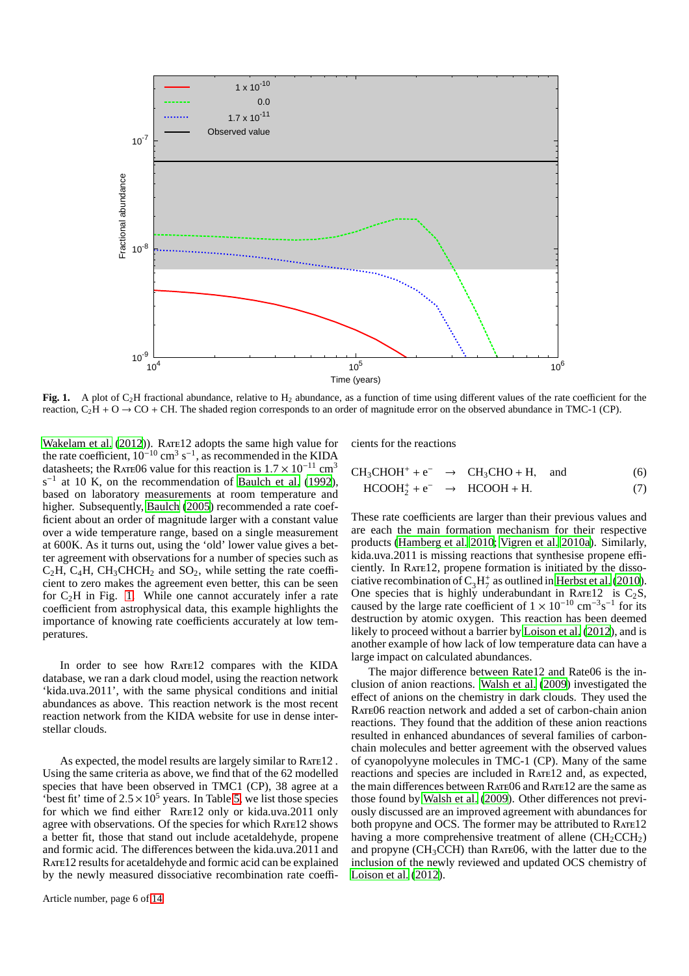

<span id="page-5-0"></span>Fig. 1. A plot of C<sub>2</sub>H fractional abundance, relative to H<sub>2</sub> abundance, as a function of time using different values of the rate coefficient for the reaction,  $C_2H + O \rightarrow CO + CH$ . The shaded region corresponds to an order of magnitude error on the observed abundance in TMC-1 (CP).

[Wakelam et al. \(2012](#page-12-11))). RATE12 adopts the same high value for the rate coefficient,  $10^{-10}$  cm<sup>3</sup> s<sup>-1</sup>, as recommended in the KIDA datasheets; the RATE06 value for this reaction is  $1.7 \times 10^{-11}$  cm<sup>3</sup>  $s^{-1}$  at 10 K, on the recommendation of [Baulch et al. \(1992](#page-9-9)), based on laboratory measurements at room temperature and higher. Subsequently, [Baulch \(2005](#page-9-10)) recommended a rate coefficient about an order of magnitude larger with a constant value over a wide temperature range, based on a single measurement at 600K. As it turns out, using the 'old' lower value gives a better agreement with observations for a number of species such as  $C_2H$ ,  $C_4H$ ,  $CH_3CHCH_2$  and  $SO_2$ , while setting the rate coefficient to zero makes the agreement even better, this can be seen for  $C_2H$  in Fig. [1.](#page-5-0) While one cannot accurately infer a rate coefficient from astrophysical data, this example highlights the importance of knowing rate coefficients accurately at low temperatures.

In order to see how Rate12 compares with the KIDA database, we ran a dark cloud model, using the reaction network 'kida.uva.2011', with the same physical conditions and initial abundances as above. This reaction network is the most recent reaction network from the KIDA website for use in dense interstellar clouds.

As expected, the model results are largely similar to RATE12. Using the same criteria as above, we find that of the 62 modelled species that have been observed in TMC1 (CP), 38 agree at a 'best fit' time of  $2.5 \times 10^5$  years. In Table [5,](#page-7-0) we list those species for which we find either Rate12 only or kida.uva.2011 only agree with observations. Of the species for which Rate12 shows a better fit, those that stand out include acetaldehyde, propene and formic acid. The differences between the kida.uva.2011 and Rate12 results for acetaldehyde and formic acid can be explained by the newly measured dissociative recombination rate coefficients for the reactions

$$
CH3CHOH+ + e- \rightarrow CH3CHO + H, and
$$
 (6)  
HCOOH<sup>+</sup><sub>2</sub> + e<sup>-</sup> \rightarrow HCOOH + H. (7)

These rate coefficients are larger than their previous values and are each the main formation mechanism for their respective products [\(Hamberg et al. 2010;](#page-10-14) [Vigren et al. 2010a\)](#page-12-12). Similarly, kida.uva.2011 is missing reactions that synthesise propene efficiently. In Rate12, propene formation is initiated by the dissociative recombination of  $C_3H_7^+$  as outlined in [Herbst et al.](#page-11-17) [\(2010\)](#page-11-17). One species that is highly underabundant in RATE12 is  $C_2S$ , caused by the large rate coefficient of  $1 \times 10^{-10}$  cm<sup>-3</sup>s<sup>-1</sup> for its destruction by atomic oxygen. This reaction has been deemed likely to proceed without a barrier by [Loison et al. \(2012](#page-11-18)), and is another example of how lack of low temperature data can have a large impact on calculated abundances.

The major difference between Rate12 and Rate06 is the inclusion of anion reactions. [Walsh et al. \(2009](#page-12-1)) investigated the effect of anions on the chemistry in dark clouds. They used the Rate06 reaction network and added a set of carbon-chain anion reactions. They found that the addition of these anion reactions resulted in enhanced abundances of several families of carbonchain molecules and better agreement with the observed values of cyanopolyyne molecules in TMC-1 (CP). Many of the same reactions and species are included in Rate12 and, as expected, the main differences between Rate06 and Rate12 are the same as those found by [Walsh et al.](#page-12-1) [\(2009\)](#page-12-1). Other differences not previously discussed are an improved agreement with abundances for both propyne and OCS. The former may be attributed to RATE12 having a more comprehensive treatment of allene  $(CH_2CCH_2)$ and propyne  $(CH_3CCH)$  than RATEO6, with the latter due to the inclusion of the newly reviewed and updated OCS chemistry of [Loison et al.](#page-11-18) [\(2012\)](#page-11-18).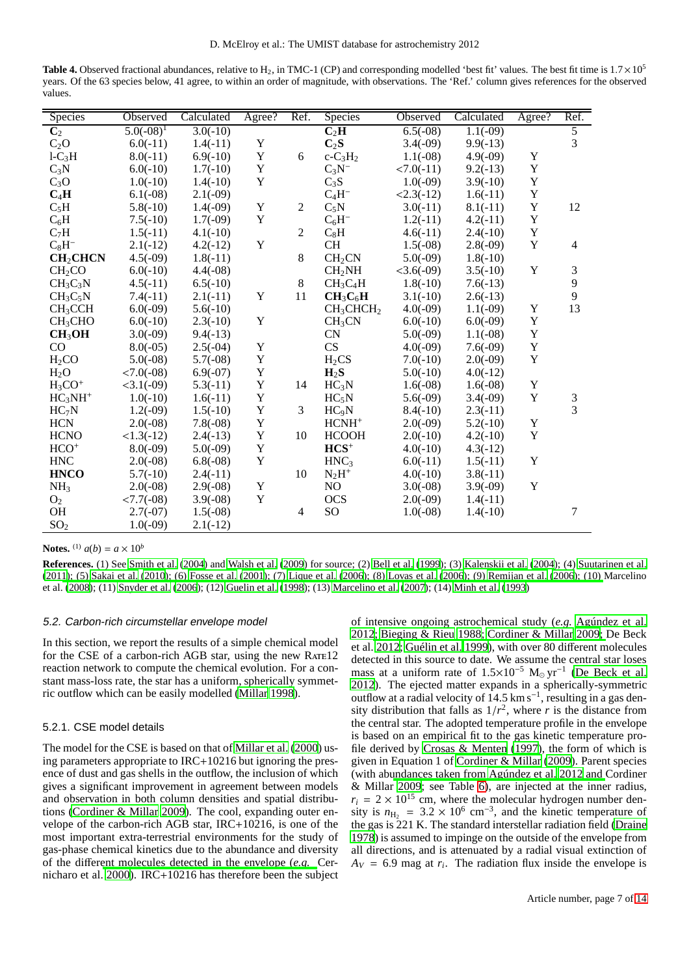<span id="page-6-0"></span>**Table 4.** Observed fractional abundances, relative to H<sub>2</sub>, in TMC-1 (CP) and corresponding modelled 'best fit' values. The best fit time is  $1.7 \times 10^5$ years. Of the 63 species below, 41 agree, to within an order of magnitude, with observations. The 'Ref.' column gives references for the observed values.

| Species                          | Observed     | Calculated | Agree?      | Ref.           | <b>Species</b>                    | Observed              | Calculated | Agree?      | Ref.           |
|----------------------------------|--------------|------------|-------------|----------------|-----------------------------------|-----------------------|------------|-------------|----------------|
| $\overline{\mathbf{C}_2}$        | $5.0(-08)^1$ | $3.0(-10)$ |             |                | $C_2H$                            | $6.\overline{5(-08)}$ | $1.1(-09)$ |             | 5              |
| C <sub>2</sub> O                 | $6.0(-11)$   | $1.4(-11)$ | $\mathbf Y$ |                | $C_2S$                            | $3.4(-09)$            | $9.9(-13)$ |             | $\overline{3}$ |
| $1-C_3H$                         | $8.0(-11)$   | $6.9(-10)$ | $\mathbf Y$ | 6              | $c-C_3H_2$                        | $1.1(-08)$            | $4.9(-09)$ | $\mathbf Y$ |                |
| $C_3N$                           | $6.0(-10)$   | $1.7(-10)$ | $\mathbf Y$ |                | $C_3N^-$                          | $< 7.0(-11)$          | $9.2(-13)$ | $\mathbf Y$ |                |
| $C_3O$                           | $1.0(-10)$   | $1.4(-10)$ | Y           |                | $C_3S$                            | $1.0(-09)$            | $3.9(-10)$ | Y           |                |
| $C_4H$                           | $6.1(-08)$   | $2.1(-09)$ |             |                | $C_4H^-$                          | $< 2.3(-12)$          | $1.6(-11)$ | Y           |                |
| $C_5H$                           | $5.8(-10)$   | $1.4(-09)$ | $\mathbf Y$ | $\overline{c}$ | $C_5N$                            | $3.0(-11)$            | $8.1(-11)$ | $\mathbf Y$ | 12             |
| $C_6H$                           | $7.5(-10)$   | $1.7(-09)$ | Y           |                | $C_6H^-$                          | $1.2(-11)$            | $4.2(-11)$ | Y           |                |
| $C_7H$                           | $1.5(-11)$   | $4.1(-10)$ |             | 2              | $C_8H$                            | $4.6(-11)$            | $2.4(-10)$ | $\mathbf Y$ |                |
| $C_8H^-$                         | $2.1(-12)$   | $4.2(-12)$ | Y           |                | <b>CH</b>                         | $1.5(-08)$            | $2.8(-09)$ | Y           | $\overline{4}$ |
| CH <sub>2</sub> CHCN             | $4.5(-09)$   | $1.8(-11)$ |             | 8              | CH <sub>2</sub> CN                | $5.0(-09)$            | $1.8(-10)$ |             |                |
| CH <sub>2</sub> CO               | $6.0(-10)$   | $4.4(-08)$ |             |                | CH <sub>2</sub> NH                | $<$ 3.6(-09)          | $3.5(-10)$ | $\mathbf Y$ | $\mathfrak{Z}$ |
| CH <sub>3</sub> C <sub>3</sub> N | $4.5(-11)$   | $6.5(-10)$ |             | 8              | $CH_3C_4H$                        | $1.8(-10)$            | $7.6(-13)$ |             | 9              |
| $CH_3C_5N$                       | $7.4(-11)$   | $2.1(-11)$ | $\mathbf Y$ | 11             | $CH_3C_6H$                        | $3.1(-10)$            | $2.6(-13)$ |             | 9              |
| CH <sub>3</sub> CCH              | $6.0(-09)$   | $5.6(-10)$ |             |                | CH <sub>3</sub> CHCH <sub>2</sub> | $4.0(-09)$            | $1.1(-09)$ | Y           | 13             |
| CH <sub>3</sub> CHO              | $6.0(-10)$   | $2.3(-10)$ | $\mathbf Y$ |                | CH <sub>3</sub> CN                | $6.0(-10)$            | $6.0(-09)$ | $\mathbf Y$ |                |
| CH <sub>3</sub> OH               | $3.0(-09)$   | $9.4(-13)$ |             |                | <b>CN</b>                         | $5.0(-09)$            | $1.1(-08)$ | $\mathbf Y$ |                |
| CO                               | $8.0(-05)$   | $2.5(-04)$ | $\mathbf Y$ |                | CS                                | $4.0(-09)$            | $7.6(-09)$ | $\mathbf Y$ |                |
| $H_2CO$                          | $5.0(-08)$   | $5.7(-08)$ | Y           |                | $H_2CS$                           | $7.0(-10)$            | $2.0(-09)$ | Y           |                |
| H <sub>2</sub> O                 | $< 7.0(-08)$ | $6.9(-07)$ | Y           |                | $H_2S$                            | $5.0(-10)$            | $4.0(-12)$ |             |                |
| $H_3CO+$                         | $<$ 3.1(-09) | $5.3(-11)$ | $\mathbf Y$ | 14             | HC <sub>3</sub> N                 | $1.6(-08)$            | $1.6(-08)$ | Y           |                |
| $HC3NH+$                         | $1.0(-10)$   | $1.6(-11)$ | $\mathbf Y$ |                | $HC_5N$                           | $5.6(-09)$            | $3.4(-09)$ | Y           | 3              |
| $HC_7N$                          | $1.2(-09)$   | $1.5(-10)$ | Y           | 3              | $HC_9N$                           | $8.4(-10)$            | $2.3(-11)$ |             | $\overline{3}$ |
| <b>HCN</b>                       | $2.0(-08)$   | $7.8(-08)$ | $\mathbf Y$ |                | $HCNH+$                           | $2.0(-09)$            | $5.2(-10)$ | $\mathbf Y$ |                |
| <b>HCNO</b>                      | $<1.3(-12)$  | $2.4(-13)$ | Y           | 10             | <b>HCOOH</b>                      | $2.0(-10)$            | $4.2(-10)$ | Y           |                |
| $HCO+$                           | $8.0(-09)$   | $5.0(-09)$ | $\mathbf Y$ |                | $HCS^+$                           | $4.0(-10)$            | $4.3(-12)$ |             |                |
| <b>HNC</b>                       | $2.0(-08)$   | $6.8(-08)$ | Y           |                | HNC <sub>3</sub>                  | $6.0(-11)$            | $1.5(-11)$ | Y           |                |
| <b>HNCO</b>                      | $5.7(-10)$   | $2.4(-11)$ |             | 10             | $N_2H^+$                          | $4.0(-10)$            | $3.8(-11)$ |             |                |
| NH <sub>3</sub>                  | $2.0(-08)$   | $2.9(-08)$ | Y           |                | NO                                | $3.0(-08)$            | $3.9(-09)$ | Y           |                |
| O <sub>2</sub>                   | $< 7.7(-08)$ | $3.9(-08)$ | Y           |                | <b>OCS</b>                        | $2.0(-09)$            | $1.4(-11)$ |             |                |
| <b>OH</b>                        | $2.7(-07)$   | $1.5(-08)$ |             | 4              | SO                                | $1.0(-08)$            | $1.4(-10)$ |             | 7              |
| SO <sub>2</sub>                  | $1.0(-09)$   | $2.1(-12)$ |             |                |                                   |                       |            |             |                |

**Notes.** (1)  $a(b) = a \times 10^b$ 

**References.** (1) See [Smith et al. \(2004](#page-11-19)) and [Walsh et al.](#page-12-1) [\(2009](#page-12-1)) for source; (2) [Bell et al. \(1999](#page-9-11)); (3) [Kalenskii et al. \(2004\)](#page-11-20); (4) [Suutarinen et al.](#page-12-13) [\(2011\)](#page-12-13)[; \(5\)](#page-11-10) [Sakai et al.](#page-11-21)[\(2010\)](#page-11-21)[; \(6\)](#page-11-10) [Fosse et al. \(2001](#page-10-15)[\); \(7\)](#page-11-10) [Lique et al. \(2006](#page-11-22)[\); \(8\)](#page-11-10) [Lovas et al.](#page-11-23)[\(2006](#page-11-23)[\); \(9\)](#page-11-10) [Remijan et al.](#page-11-24) [\(2006\)](#page-11-24); (10) Marcelino et al. [\(2008](#page-11-10)); (11) [Snyder et al.](#page-11-25) [\(2006](#page-11-25)); (12) [Guelin et al.](#page-10-16) [\(1998](#page-10-16)); (13) [Marcelino et al. \(2007\)](#page-11-26); (14) [Minh et al. \(1993](#page-11-27))

#### 5.2. Carbon-rich circumstellar envelope model

In this section, we report the results of a simple chemical model for the CSE of a carbon-rich AGB star, using the new Rate12 reaction network to compute the chemical evolution. For a constant mass-loss rate, the star has a uniform, spherically symmetric outflow which can be easily modelled [\(Millar 1998\)](#page-11-28).

## 5.2.1. CSE model details

The model for the CSE is based on that of [Millar et al.](#page-11-29) [\(2000\)](#page-11-29) using parameters appropriate to IRC+10216 but ignoring the presence of dust and gas shells in the outflow, the inclusion of which gives a significant improvement in agreement between models and observation in both column densities and spatial distributions [\(Cordiner & Millar 2009\)](#page-10-17). The cool, expanding outer envelope of the carbon-rich AGB star, IRC+10216, is one of the most important extra-terrestrial environments for the study of gas-phase chemical kinetics due to the abundance and diversity of the differ[ent molecules detected in the envelope \(](#page-10-18)*e.g.* Cernicharo et al. [2000](#page-10-18)). IRC+10216 has therefore been the subject

of intensive ongoing astrochemical study (*e.g.* [Agúndez et al.](#page-9-12) [2012;](#page-9-12) [Bieging & Rieu 1988;](#page-9-13) [Cordiner & Millar 2009](#page-10-17); De Beck et al. [2012](#page-10-19); [Guélin et al. 1999\)](#page-10-20), with over 80 different molecules detected in this source to date. We assume the central star loses mass at a uniform rate of  $1.5 \times 10^{-5}$  M<sub>☉</sub> yr<sup>-1</sup> [\(De Beck et al.](#page-10-19) [2012\)](#page-10-19). The ejected matter expands in a spherically-symmetric outflow at a radial velocity of  $14.5 \text{ km s}^{-1}$ , resulting in a gas density distribution that falls as  $1/r^2$ , where *r* is the distance from the central star. The adopted temperature profile in the envelope is based on an empirical fit to the gas kinetic temperature profile derived by Crosas  $&$  Menten [\(1997\)](#page-10-21), the form of which is given in Equation 1 of [Cordiner & Millar \(2009](#page-10-17)). Parent species (with ab[undances taken from](#page-10-17) [Agúndez et al. 2012](#page-9-12) [and](#page-10-17) Cordiner & Millar [2009;](#page-10-17) see Table [6\)](#page-7-1), are injected at the inner radius,  $r_i = 2 \times 10^{15}$  cm, where the molecular hydrogen number density is  $n_{\text{H}_2}$  = 3.2 × 10<sup>6</sup> cm<sup>-3</sup>, and the kinetic temperature of the gas is 221 K. The standard interstellar radiation field [\(Draine](#page-10-2) [1978\)](#page-10-2) is assumed to impinge on the outside of the envelope from all directions, and is attenuated by a radial visual extinction of  $A_V = 6.9$  mag at  $r_i$ . The radiation flux inside the envelope is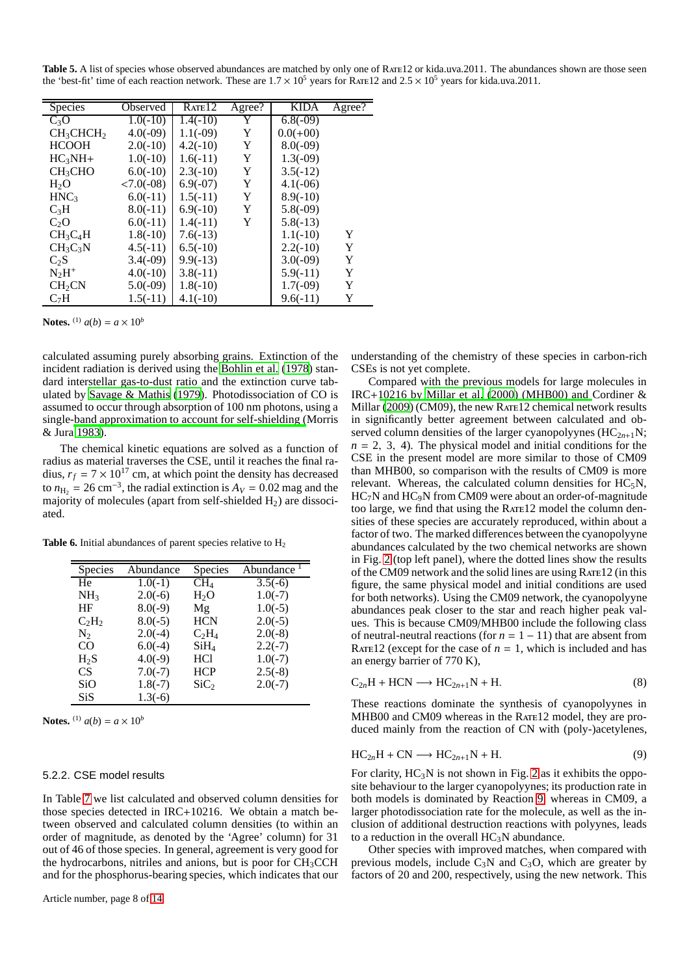| <b>Species</b>                    | Observed     | RATE <sub>12</sub>    | Agree? | <b>KIDA</b>           | Agree? |
|-----------------------------------|--------------|-----------------------|--------|-----------------------|--------|
| $C_3O$                            | $1.0(-10)$   | $1.\overline{4(-10)}$ | Y      | $6.\overline{8(-09)}$ |        |
| CH <sub>3</sub> CHCH <sub>2</sub> | $4.0(-09)$   | $1.1(-09)$            | Y      | $0.0(+00)$            |        |
| <b>HCOOH</b>                      | $2.0(-10)$   | $4.2(-10)$            | Y      | $8.0(-09)$            |        |
| $HC_3NH+$                         | $1.0(-10)$   | $1.6(-11)$            | Y      | $1.3(-09)$            |        |
| CH <sub>3</sub> CHO               | $6.0(-10)$   | $2.3(-10)$            | Y      | $3.5(-12)$            |        |
| $H_2O$                            | $< 7.0(-08)$ | $6.9(-07)$            | Y      | $4.1(-06)$            |        |
| HNC <sub>3</sub>                  | $6.0(-11)$   | $1.5(-11)$            | Y      | $8.9(-10)$            |        |
| $C_3H$                            | $8.0(-11)$   | $6.9(-10)$            | Y      | $5.8(-09)$            |        |
| $C_2O$                            | $6.0(-11)$   | $1.4(-11)$            | Y      | $5.8(-13)$            |        |
| $CH_3C_4H$                        | $1.8(-10)$   | $7.6(-13)$            |        | $1.1(-10)$            | Y      |
| CH <sub>3</sub> C <sub>3</sub> N  | $4.5(-11)$   | $6.5(-10)$            |        | $2.2(-10)$            | Y      |
| $C_2S$                            | $3.4(-09)$   | $9.9(-13)$            |        | $3.0(-09)$            | Y      |
| $N_2H^+$                          | $4.0(-10)$   | $3.8(-11)$            |        | $5.9(-11)$            | Y      |
| CH <sub>2</sub> CN                | $5.0(-09)$   | $1.8(-10)$            |        | $1.7(-09)$            | Y      |
| C <sub>7</sub> H                  | $1.5(-11)$   | $4.1(-10)$            |        | $9.6(-11)$            | Y      |

<span id="page-7-0"></span>Table 5. A list of species whose observed abundances are matched by only one of RATE12 or kida.uva.2011. The abundances shown are those seen the 'best-fit' time of each reaction network. These are  $1.7 \times 10^5$  years for RATE12 and  $2.5 \times 10^5$  years for kida.uva.2011.

**Notes.** <sup>(1)</sup>  $a(b) = a \times 10^b$ 

calculated assuming purely absorbing grains. Extinction of the incident radiation is derived using the [Bohlin et al.](#page-9-14) [\(1978\)](#page-9-14) standard interstellar gas-to-dust ratio and the extinction curve tabulated by [Savage & Mathis \(1979](#page-11-30)). Photodissociation of CO is assumed to occur through absorption of 100 nm photons, using a single[-band approximation to account for self-shielding \(](#page-11-31)Morris & Jura [1983](#page-11-31)).

The chemical kinetic equations are solved as a function of radius as material traverses the CSE, until it reaches the final radius,  $r_f = 7 \times 10^{17}$  cm, at which point the density has decreased to  $n_{\text{H}_2} = 26 \text{ cm}^{-3}$ , the radial extinction is  $A_V = 0.02 \text{ mag}$  and the majority of molecules (apart from self-shielded  $H_2$ ) are dissociated.

**Table 6.** Initial abundances of parent species relative to  $H_2$ 

<span id="page-7-1"></span>

| Species         | Abundance | Species          | Abundance <sup>1</sup> |
|-----------------|-----------|------------------|------------------------|
| He              | $1.0(-1)$ | CH <sub>4</sub>  | $3.5(-6)$              |
| NH <sub>3</sub> | $2.0(-6)$ | H <sub>2</sub> O | $1.0(-7)$              |
| HF              | $8.0(-9)$ | Mg               | $1.0(-5)$              |
| $C_2H_2$        | $8.0(-5)$ | <b>HCN</b>       | $2.0(-5)$              |
| N <sub>2</sub>  | $2.0(-4)$ | $C_2H_4$         | $2.0(-8)$              |
| CO.             | $6.0(-4)$ | SiH <sub>4</sub> | $2.2(-7)$              |
| $H_2S$          | $4.0(-9)$ | HCl              | $1.0(-7)$              |
| <b>CS</b>       | $7.0(-7)$ | <b>HCP</b>       | $2.5(-8)$              |
| SiO             | $1.8(-7)$ | SiC <sub>2</sub> | $2.0(-7)$              |
| SiS             | $1.3(-6)$ |                  |                        |

**Notes.** (1)  $a(b) = a \times 10^b$ 

# 5.2.2. CSE model results

In Table [7](#page-10-22) we list calculated and observed column densities for those species detected in IRC+10216. We obtain a match between observed and calculated column densities (to within an order of magnitude, as denoted by the 'Agree' column) for 31 out of 46 of those species. In general, agreement is very good for the hydrocarbons, nitriles and anions, but is poor for  $CH<sub>3</sub>CCH$ and for the phosphorus-bearing species, which indicates that our understanding of the chemistry of these species in carbon-rich CSEs is not yet complete.

Compared with the previous models for large molecules in IRC+10216 by [Millar et al. \(2000](#page-11-29)) (MHB00) and Cordiner & Millar [\(2009\)](#page-10-17) (CM09), the new RATE<sub>12</sub> chemical network results in significantly better agreement between calculated and observed column densities of the larger cyanopolyynes  $(HC_{2n+1}N;$  $n = 2, 3, 4$ . The physical model and initial conditions for the CSE in the present model are more similar to those of CM09 than MHB00, so comparison with the results of CM09 is more relevant. Whereas, the calculated column densities for  $HC_5N$ ,  $HC_7N$  and  $HC_9N$  from CM09 were about an order-of-magnitude too large, we find that using the RATE12 model the column densities of these species are accurately reproduced, within about a factor of two. The marked differences between the cyanopolyyne abundances calculated by the two chemical networks are shown in Fig. [2](#page-8-0) (top left panel), where the dotted lines show the results of the CM09 network and the solid lines are using Rate12 (in this figure, the same physical model and initial conditions are used for both networks). Using the CM09 network, the cyanopolyyne abundances peak closer to the star and reach higher peak values. This is because CM09/MHB00 include the following class of neutral-neutral reactions (for  $n = 1 - 11$ ) that are absent from RATE<sup>12</sup> (except for the case of  $n = 1$ , which is included and has an energy barrier of 770 K),

$$
C_{2n}H + HCN \longrightarrow HC_{2n+1}N + H.
$$
 (8)

These reactions dominate the synthesis of cyanopolyynes in MHB00 and CM09 whereas in the RATE12 model, they are produced mainly from the reaction of CN with (poly-)acetylenes,

<span id="page-7-2"></span>
$$
HC_{2n}H + CN \longrightarrow HC_{2n+1}N + H.
$$
\n(9)

For clarity,  $HC_3N$  is not shown in Fig. [2](#page-8-0) as it exhibits the opposite behaviour to the larger cyanopolyynes; its production rate in both models is dominated by Reaction [9,](#page-7-2) whereas in CM09, a larger photodissociation rate for the molecule, as well as the inclusion of additional destruction reactions with polyynes, leads to a reduction in the overall  $HC_3N$  abundance.

Other species with improved matches, when compared with previous models, include  $C_3N$  and  $C_3O$ , which are greater by factors of 20 and 200, respectively, using the new network. This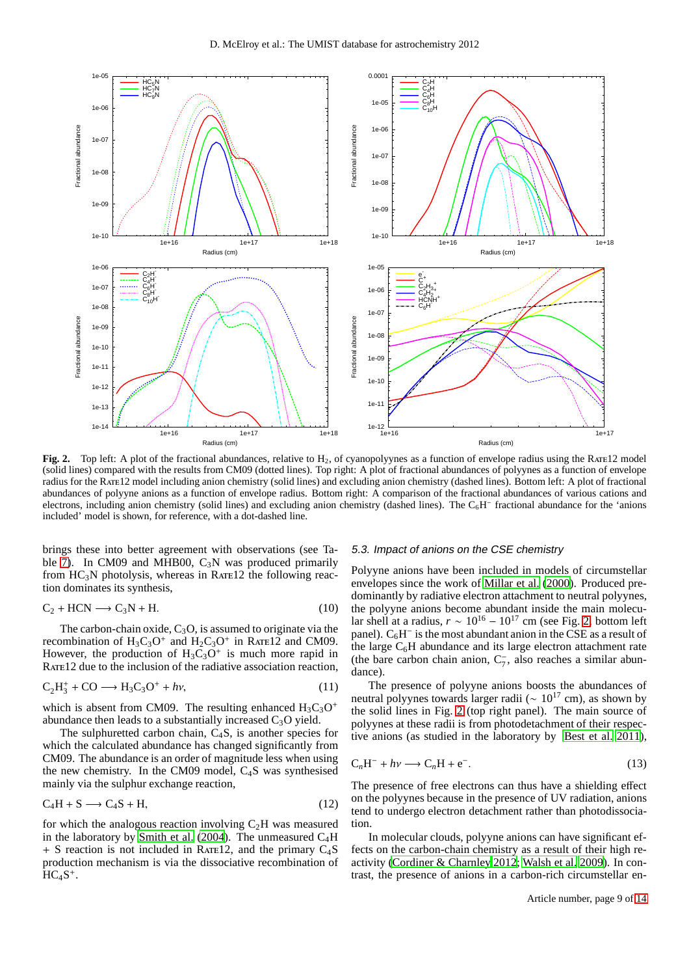

<span id="page-8-0"></span>**Fig. 2.** Top left: A plot of the fractional abundances, relative to H<sub>2</sub>, of cyanopolyynes as a function of envelope radius using the RATE12 model (solid lines) compared with the results from CM09 (dotted lines). Top right: A plot of fractional abundances of polyynes as a function of envelope radius for the Rate12 model including anion chemistry (solid lines) and excluding anion chemistry (dashed lines). Bottom left: A plot of fractional abundances of polyyne anions as a function of envelope radius. Bottom right: A comparison of the fractional abundances of various cations and electrons, including anion chemistry (solid lines) and excluding anion chemistry (dashed lines). The C<sub>6</sub>H<sup>-</sup> fractional abundance for the 'anions included' model is shown, for reference, with a dot-dashed line.

brings these into better agreement with observations (see Ta-ble [7\)](#page-10-22). In CM09 and MHB00,  $C_3N$  was produced primarily from  $HC_3N$  photolysis, whereas in RATE12 the following reaction dominates its synthesis,

$$
C_2 + HCN \longrightarrow C_3N + H. \tag{10}
$$

The carbon-chain oxide,  $C_3O$ , is assumed to originate via the recombination of  $H_3C_3O^+$  and  $H_2C_3O^+$  in RATE12 and CM09. However, the production of  $H_3C_3O^+$  is much more rapid in RATE<sup>12</sup> due to the inclusion of the radiative association reaction,

$$
C_2H_3^+ + CO \longrightarrow H_3C_3O^+ + h\nu,
$$
\n(11)

which is absent from CM09. The resulting enhanced  $H_3C_3O^+$ abundance then leads to a substantially increased  $C_3O$  yield.

The sulphuretted carbon chain,  $C_4S$ , is another species for which the calculated abundance has changed significantly from CM09. The abundance is an order of magnitude less when using the new chemistry. In the CM09 model,  $C<sub>4</sub>S$  was synthesised mainly via the sulphur exchange reaction,

$$
C_4H + S \longrightarrow C_4S + H,\tag{12}
$$

for which the analogous reaction involving  $C_2H$  was measured in the laboratory by [Smith et al.](#page-11-19) [\(2004\)](#page-11-19). The unmeasured  $C_4H$  $+ S$  reaction is not included in RATE12, and the primary  $C_4S$ production mechanism is via the dissociative recombination of  $\rm \dot{H} C_4 S^+.$ 

## 5.3. Impact of anions on the CSE chemistry

Polyyne anions have been included in models of circumstellar envelopes since the work of [Millar et al. \(2000](#page-11-29)). Produced predominantly by radiative electron attachment to neutral polyynes, the polyyne anions become abundant inside the main molecular shell at a radius,  $r \sim 10^{16} - 10^{17}$  cm (see Fig. [2,](#page-8-0) bottom left panel).  $C_6H^-$  is the most abundant anion in the CSE as a result of the large  $C_6H$  abundance and its large electron attachment rate (the bare carbon chain anion,  $C_7^-$ , also reaches a similar abundance).

The presence of polyyne anions boosts the abundances of neutral polyynes towards larger radii ( $\sim 10^{17}$  cm), as shown by the solid lines in Fig. [2](#page-8-0) (top right panel). The main source of polyynes at these radii is from photodetachment of their respective anions (as studied in the laboratory by [Best et al. 2011\)](#page-9-15),

$$
C_nH^- + hv \longrightarrow C_nH + e^-. \tag{13}
$$

The presence of free electrons can thus have a shielding effect on the polyynes because in the presence of UV radiation, anions tend to undergo electron detachment rather than photodissociation.

In molecular clouds, polyyne anions can have significant effects on the carbon-chain chemistry as a result of their high reactivity [\(Cordiner & Charnley 2012](#page-10-23); [Walsh et al. 2009\)](#page-12-1). In contrast, the presence of anions in a carbon-rich circumstellar en-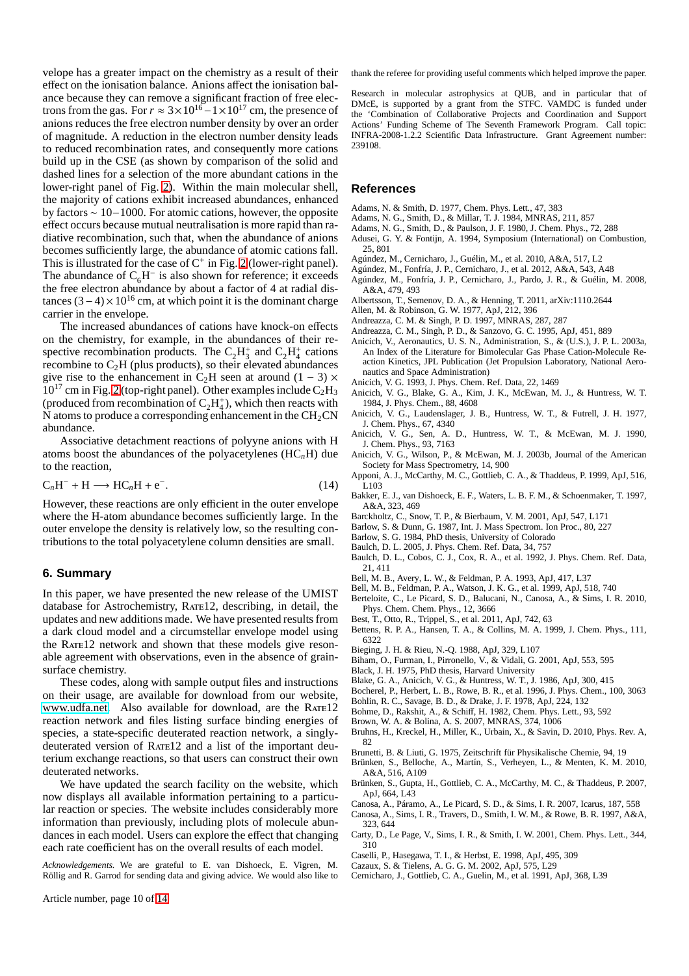velope has a greater impact on the chemistry as a result of their effect on the ionisation balance. Anions affect the ionisation balance because they can remove a significant fraction of free electrons from the gas. For  $r \approx 3 \times 10^{16} - 1 \times 10^{17}$  cm, the presence of anions reduces the free electron number density by over an order of magnitude. A reduction in the electron number density leads to reduced recombination rates, and consequently more cations build up in the CSE (as shown by comparison of the solid and dashed lines for a selection of the more abundant cations in the lower-right panel of Fig. [2\)](#page-8-0). Within the main molecular shell, the majority of cations exhibit increased abundances, enhanced by factors ∼ 10−1000. For atomic cations, however, the opposite effect occurs because mutual neutralisation is more rapid than radiative recombination, such that, when the abundance of anions becomes sufficiently large, the abundance of atomic cations fall. This is illustrated for the case of  $C^+$  in Fig. [2](#page-8-0) (lower-right panel). The abundance of  $C_6H^-$  is also shown for reference; it exceeds the free electron abundance by about a factor of 4 at radial distances  $(3-4) \times 10^{16}$  cm, at which point it is the dominant charge carrier in the envelope.

The increased abundances of cations have knock-on effects on the chemistry, for example, in the abundances of their respective recombination products. The  $C_2H_3^+$  and  $C_2H_4^+$  cations recombine to  $C<sub>2</sub>H$  (plus products), so their elevated abundances give rise to the enhancement in C<sub>2</sub>H seen at around (1 – 3)  $\times$  $10^{17}$  cm in Fig. [2](#page-8-0) (top-right panel). Other examples include  $C_2H_3$ (produced from recombination of  $C_2H_4^+$ ), which then reacts with N atoms to produce a corresponding enhancement in the  $CH<sub>2</sub>CN$ abundance.

Associative detachment reactions of polyyne anions with H atoms boost the abundances of the polyacetylenes  $(HC<sub>n</sub>H)$  due to the reaction,

$$
C_nH^- + H \longrightarrow HC_nH + e^-.
$$
 (14)

However, these reactions are only efficient in the outer envelope where the H-atom abundance becomes sufficiently large. In the outer envelope the density is relatively low, so the resulting contributions to the total polyacetylene column densities are small.

#### **6. Summary**

In this paper, we have presented the new release of the UMIST database for Astrochemistry, RATE12, describing, in detail, the updates and new additions made. We have presented results from a dark cloud model and a circumstellar envelope model using the Rate12 network and shown that these models give resonable agreement with observations, even in the absence of grainsurface chemistry.

These codes, along with sample output files and instructions on their usage, are available for download from our website, [www.udfa.net.](http://www.udfa.net) Also available for download, are the RATE12 reaction network and files listing surface binding energies of species, a state-specific deuterated reaction network, a singlydeuterated version of Rate12 and a list of the important deuterium exchange reactions, so that users can construct their own deuterated networks.

We have updated the search facility on the website, which now displays all available information pertaining to a particular reaction or species. The website includes considerably more information than previously, including plots of molecule abundances in each model. Users can explore the effect that changing each rate coefficient has on the overall results of each model.

*Acknowledgements.* We are grateful to E. van Dishoeck, E. Vigren, M. Röllig and R. Garrod for sending data and giving advice. We would also like to thank the referee for providing useful comments which helped improve the paper.

Research in molecular astrophysics at QUB, and in particular that of DMcE, is supported by a grant from the STFC. VAMDC is funded under the 'Combination of Collaborative Projects and Coordination and Support Actions' Funding Scheme of The Seventh Framework Program. Call topic: INFRA-2008-1.2.2 Scientific Data Infrastructure. Grant Agreement number: 239108.

#### **References**

- <span id="page-9-22"></span>Adams, N. & Smith, D. 1977, Chem. Phys. Lett., 47, 383
- <span id="page-9-24"></span>Adams, N. G., Smith, D., & Millar, T. J. 1984, MNRAS, 211, 857
- <span id="page-9-23"></span>Adams, N. G., Smith, D., & Paulson, J. F. 1980, J. Chem. Phys., 72, 288
- <span id="page-9-25"></span>Adusei, G. Y. & Fontijn, A. 1994, Symposium (International) on Combustion, 25, 801
- <span id="page-9-17"></span>Agúndez, M., Cernicharo, J., Guélin, M., et al. 2010, A&A, 517, L2
- <span id="page-9-12"></span>Agúndez, M., Fonfría, J. P., Cernicharo, J., et al. 2012, A&A, 543, A48
- <span id="page-9-18"></span>Agúndez, M., Fonfría, J. P., Cernicharo, J., Pardo, J. R., & Guélin, M. 2008, A&A, 479, 493
- <span id="page-9-5"></span>Albertsson, T., Semenov, D. A., & Henning, T. 2011, arXiv:1110.2644
- <span id="page-9-8"></span>Allen, M. & Robinson, G. W. 1977, ApJ, 212, 396
- <span id="page-9-27"></span>Andreazza, C. M. & Singh, P. D. 1997, MNRAS, 287, 287
- <span id="page-9-26"></span>Andreazza, C. M., Singh, P. D., & Sanzovo, G. C. 1995, ApJ, 451, 889
- <span id="page-9-29"></span>Anicich, V., Aeronautics, U. S. N., Administration, S., & (U.S.), J. P. L. 2003a, An Index of the Literature for Bimolecular Gas Phase Cation-Molecule Reaction Kinetics, JPL Publication (Jet Propulsion Laboratory, National Aeronautics and Space Administration)
- <span id="page-9-33"></span>Anicich, V. G. 1993, J. Phys. Chem. Ref. Data, 22, 1469
- <span id="page-9-31"></span>Anicich, V. G., Blake, G. A., Kim, J. K., McEwan, M. J., & Huntress, W. T. 1984, J. Phys. Chem., 88, 4608
- <span id="page-9-30"></span>Anicich, V. G., Laudenslager, J. B., Huntress, W. T., & Futrell, J. H. 1977, J. Chem. Phys., 67, 4340
- <span id="page-9-32"></span>Anicich, V. G., Sen, A. D., Huntress, W. T., & McEwan, M. J. 1990, J. Chem. Phys., 93, 7163
- <span id="page-9-28"></span>Anicich, V. G., Wilson, P., & McEwan, M. J. 2003b, Journal of the American Society for Mass Spectrometry, 14, 900
- <span id="page-9-20"></span>Apponi, A. J., McCarthy, M. C., Gottlieb, C. A., & Thaddeus, P. 1999, ApJ, 516, L103
- <span id="page-9-16"></span>Bakker, E. J., van Dishoeck, E. F., Waters, L. B. F. M., & Schoenmaker, T. 1997, A&A, 323, 469
- <span id="page-9-34"></span>Barckholtz, C., Snow, T. P., & Bierbaum, V. M. 2001, ApJ, 547, L171
- <span id="page-9-36"></span>Barlow, S. & Dunn, G. 1987, Int. J. Mass Spectrom. Ion Proc., 80, 227
- <span id="page-9-35"></span>Barlow, S. G. 1984, PhD thesis, University of Colorado
- <span id="page-9-10"></span>Baulch, D. L. 2005, J. Phys. Chem. Ref. Data, 34, 757
- <span id="page-9-9"></span>Baulch, D. L., Cobos, C. J., Cox, R. A., et al. 1992, J. Phys. Chem. Ref. Data, 21, 411
- <span id="page-9-19"></span>Bell, M. B., Avery, L. W., & Feldman, P. A. 1993, ApJ, 417, L37
- <span id="page-9-11"></span>Bell, M. B., Feldman, P. A., Watson, J. K. G., et al. 1999, ApJ, 518, 740
- <span id="page-9-1"></span>Berteloite, C., Le Picard, S. D., Balucani, N., Canosa, A., & Sims, I. R. 2010, Phys. Chem. Chem. Phys., 12, 3666
- <span id="page-9-15"></span>Best, T., Otto, R., Trippel, S., et al. 2011, ApJ, 742, 63
- <span id="page-9-37"></span>Bettens, R. P. A., Hansen, T. A., & Collins, M. A. 1999, J. Chem. Phys., 111, 6322
- <span id="page-9-13"></span>Bieging, J. H. & Rieu, N.-Q. 1988, ApJ, 329, L107
- <span id="page-9-6"></span>Biham, O., Furman, I., Pirronello, V., & Vidali, G. 2001, ApJ, 553, 595
- <span id="page-9-38"></span>Black, J. H. 1975, PhD thesis, Harvard University
- <span id="page-9-39"></span>Blake, G. A., Anicich, V. G., & Huntress, W. T., J. 1986, ApJ, 300, 415
- 
- <span id="page-9-40"></span>Bocherel, P., Herbert, L. B., Rowe, B. R., et al. 1996, J. Phys. Chem., 100, 3063
- <span id="page-9-14"></span>Bohlin, R. C., Savage, B. D., & Drake, J. F. 1978, ApJ, 224, 132
- <span id="page-9-41"></span>Bohme, D., Rakshit, A., & Schiff, H. 1982, Chem. Phys. Lett., 93, 592
- <span id="page-9-42"></span>Brown, W. A. & Bolina, A. S. 2007, MNRAS, 374, 1006
- <span id="page-9-43"></span>Bruhns, H., Kreckel, H., Miller, K., Urbain, X., & Savin, D. 2010, Phys. Rev. A, 82
- <span id="page-9-44"></span>Brunetti, B. & Liuti, G. 1975, Zeitschrift für Physikalische Chemie, 94, 19
- <span id="page-9-4"></span>Brünken, S., Belloche, A., Martín, S., Verheyen, L., & Menten, K. M. 2010,
- A&A, 516, A109
- <span id="page-9-0"></span>Brünken, S., Gupta, H., Gottlieb, C. A., McCarthy, M. C., & Thaddeus, P. 2007, ApJ, 664, L43
- <span id="page-9-2"></span>Canosa, A., Páramo, A., Le Picard, S. D., & Sims, I. R. 2007, Icarus, 187, 558
- <span id="page-9-45"></span>Canosa, A., Sims, I. R., Travers, D., Smith, I. W. M., & Rowe, B. R. 1997, A&A, 323, 644
- <span id="page-9-3"></span>Carty, D., Le Page, V., Sims, I. R., & Smith, I. W. 2001, Chem. Phys. Lett., 344, 310
- <span id="page-9-7"></span>Caselli, P., Hasegawa, T. I., & Herbst, E. 1998, ApJ, 495, 309
- <span id="page-9-46"></span>Cazaux, S. & Tielens, A. G. G. M. 2002, ApJ, 575, L29
- <span id="page-9-21"></span>Cernicharo, J., Gottlieb, C. A., Guelin, M., et al. 1991, ApJ, 368, L39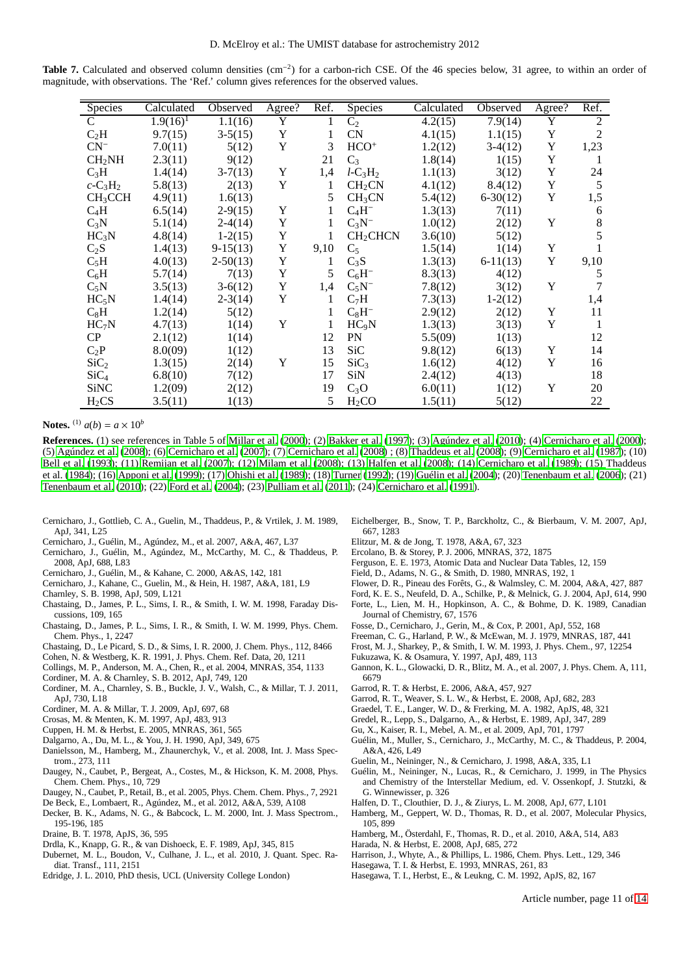Table 7. Calculated and observed column densities (cm<sup>−2</sup>) for a carbon-rich CSE. Of the 46 species below, 31 agree, to within an order of magnitude, with observations. The 'Ref.' column gives references for the observed values.

<span id="page-10-22"></span>

| Species                            | Calculated  | Observed   | Agree? | Ref. | Species                            | Calculated | Observed   | Agree? | Ref.           |
|------------------------------------|-------------|------------|--------|------|------------------------------------|------------|------------|--------|----------------|
| $\mathcal{C}$                      | $1.9(16)^1$ | 1.1(16)    | Y      |      | $C_2$                              | 4.2(15)    | 7.9(14)    | Y      | $\overline{2}$ |
| $C_2H$                             | 9.7(15)     | $3-5(15)$  | Y      |      | <b>CN</b>                          | 4.1(15)    | 1.1(15)    | Y      | $\overline{2}$ |
| $CN^{-}$                           | 7.0(11)     | 5(12)      | Y      | 3    | $HCO+$                             | 1.2(12)    | $3-4(12)$  | Y      | 1,23           |
| CH <sub>2</sub> NH                 | 2.3(11)     | 9(12)      |        | 21   | $C_3$                              | 1.8(14)    | 1(15)      | Y      | 1              |
| $C_3H$                             | 1.4(14)     | $3-7(13)$  | Y      | 1,4  | $l$ -C <sub>3</sub> H <sub>2</sub> | 1.1(13)    | 3(12)      | Y      | 24             |
| $c$ -C <sub>3</sub> H <sub>2</sub> | 5.8(13)     | 2(13)      | Y      | 1    | CH <sub>2</sub> CN                 | 4.1(12)    | 8.4(12)    | Y      | 5              |
| CH <sub>3</sub> CCH                | 4.9(11)     | 1.6(13)    |        | 5    | CH <sub>3</sub> CN                 | 5.4(12)    | $6-30(12)$ | Y      | 1,5            |
| $C_4H$                             | 6.5(14)     | $2-9(15)$  | Y      |      | $C_4H^-$                           | 1.3(13)    | 7(11)      |        | 6              |
| $C_3N$                             | 5.1(14)     | $2-4(14)$  | Y      | 1    | $C_3N^-$                           | 1.0(12)    | 2(12)      | Y      | 8              |
| HC <sub>3</sub> N                  | 4.8(14)     | $1-2(15)$  | Y      |      | CH <sub>2</sub> CHCN               | 3.6(10)    | 5(12)      |        | 5              |
| $C_2S$                             | 1.4(13)     | $9-15(13)$ | Y      | 9,10 | $C_5$                              | 1.5(14)    | 1(14)      | Y      |                |
| $C_5H$                             | 4.0(13)     | $2-50(13)$ | Y      | 1    | $C_3S$                             | 1.3(13)    | $6-11(13)$ | Y      | 9,10           |
| $C_6H$                             | 5.7(14)     | 7(13)      | Y      | 5    | $C_6H^-$                           | 8.3(13)    | 4(12)      |        | 5              |
| $C_5N$                             | 3.5(13)     | $3-6(12)$  | Y      | 1,4  | $C_5N^-$                           | 7.8(12)    | 3(12)      | Y      |                |
| $HC_5N$                            | 1.4(14)     | $2-3(14)$  | Y      | 1    | C <sub>7</sub> H                   | 7.3(13)    | $1-2(12)$  |        | 1,4            |
| $C_8H$                             | 1.2(14)     | 5(12)      |        |      | $C_8H^-$                           | 2.9(12)    | 2(12)      | Y      | 11             |
| $HC_7N$                            | 4.7(13)     | 1(14)      | Y      | 1    | $HC_9N$                            | 1.3(13)    | 3(13)      | Y      | 1              |
| CP                                 | 2.1(12)     | 1(14)      |        | 12   | PN                                 | 5.5(09)    | 1(13)      |        | 12             |
| $C_2P$                             | 8.0(09)     | 1(12)      |        | 13   | SiC                                | 9.8(12)    | 6(13)      | Y      | 14             |
| SiC <sub>2</sub>                   | 1.3(15)     | 2(14)      | Y      | 15   | SiC <sub>3</sub>                   | 1.6(12)    | 4(12)      | Y      | 16             |
| SiC <sub>4</sub>                   | 6.8(10)     | 7(12)      |        | 17   | SiN                                | 2.4(12)    | 4(13)      |        | 18             |
| SiNC                               | 1.2(09)     | 2(12)      |        | 19   | $C_3O$                             | 6.0(11)    | 1(12)      | Y      | 20             |
| $H_2CS$                            | 3.5(11)     | 1(13)      |        | 5    | $H_2CO$                            | 1.5(11)    | 5(12)      |        | 22             |

**Notes.** (1)  $a(b) = a \times 10^b$ 

**References.** (1) see references in Table 5 of [Millar et al. \(2000\)](#page-11-29); (2) [Bakker et al. \(1997\)](#page-9-16); (3) [Agúndez et al. \(2010\)](#page-9-17); (4) [Cernicharo et](#page-10-18) al. [\(2000\)](#page-10-18); (5) [Agúndez et al. \(2008\)](#page-9-18); (6) [Cernicharo et al. \(2007](#page-10-24)); (7) [Cernicharo et al. \(2008\)](#page-10-25) ; (8) [Thaddeus et al. \(2008](#page-12-14)); (9) [Cernicharo et al. \(1987\)](#page-10-26); (10) [Bell et al. \(1993](#page-9-19)[\); \(11\)](#page-12-15) [Remijan et al. \(2007](#page-11-4)[\); \(12\)](#page-12-15) [Milam et al.](#page-11-32)[\(2008\)](#page-11-32)[; \(13\)](#page-12-15) [Halfen et al.](#page-10-27)[\(2008\)](#page-10-27)[; \(14\)](#page-12-15) [Cernicharo et al. \(1989](#page-10-28)[\); \(15\)](#page-12-15) Thaddeus et al. [\(1984](#page-12-15)); (16) [Apponi et al.](#page-9-20) [\(1999](#page-9-20)); (17) [Ohishi et al. \(1989\)](#page-11-33); (18) [Turner \(1992\)](#page-12-16); (19) [Guélin et al.](#page-10-29) [\(2004](#page-10-29)); (20) [Tenenbaum et al. \(2006\)](#page-12-17); (21) [Tenenbaum et al. \(2010](#page-12-18)); (22) [Ford et al. \(2004\)](#page-10-30); (23) [Pulliam et al.](#page-11-34) [\(2011](#page-11-34)); (24) [Cernicharo et al. \(1991\)](#page-9-21).

- <span id="page-10-28"></span>Cernicharo, J., Gottlieb, C. A., Guelin, M., Thaddeus, P., & Vrtilek, J. M. 1989, ApJ, 341, L25
- <span id="page-10-24"></span>Cernicharo, J., Guélin, M., Agúndez, M., et al. 2007, A&A, 467, L37
- <span id="page-10-25"></span>Cernicharo, J., Guélin, M., Agúndez, M., McCarthy, M. C., & Thaddeus, P. 2008, ApJ, 688, L83
- <span id="page-10-18"></span>Cernicharo, J., Guélin, M., & Kahane, C. 2000, A&AS, 142, 181
- <span id="page-10-26"></span>Cernicharo, J., Kahane, C., Guelin, M., & Hein, H. 1987, A&A, 181, L9
- <span id="page-10-6"></span>Charnley, S. B. 1998, ApJ, 509, L121
- <span id="page-10-32"></span>Chastaing, D., James, P. L., Sims, I. R., & Smith, I. W. M. 1998, Faraday Discussions, 109, 165
- <span id="page-10-33"></span>Chastaing, D., James, P. L., Sims, I. R., & Smith, I. W. M. 1999, Phys. Chem. Chem. Phys., 1, 2247
- <span id="page-10-31"></span>Chastaing, D., Le Picard, S. D., & Sims, I. R. 2000, J. Chem. Phys., 112, 8466
- <span id="page-10-34"></span>Cohen, N. & Westberg, K. R. 1991, J. Phys. Chem. Ref. Data, 20, 1211
- <span id="page-10-10"></span>Collings, M. P., Anderson, M. A., Chen, R., et al. 2004, MNRAS, 354, 1133
- <span id="page-10-23"></span>Cordiner, M. A. & Charnley, S. B. 2012, ApJ, 749, 120
- <span id="page-10-1"></span>Cordiner, M. A., Charnley, S. B., Buckle, J. V., Walsh, C., & Millar, T. J. 2011, ApJ, 730, L18
- <span id="page-10-17"></span>Cordiner, M. A. & Millar, T. J. 2009, ApJ, 697, 68
- <span id="page-10-21"></span>Crosas, M. & Menten, K. M. 1997, ApJ, 483, 913
- <span id="page-10-5"></span>Cuppen, H. M. & Herbst, E. 2005, MNRAS, 361, 565
- 
- <span id="page-10-35"></span>Dalgarno, A., Du, M. L., & You, J. H. 1990, ApJ, 349, 675
- <span id="page-10-36"></span>Danielsson, M., Hamberg, M., Zhaunerchyk, V., et al. 2008, Int. J. Mass Spectrom., 273, 111
- <span id="page-10-38"></span>Daugey, N., Caubet, P., Bergeat, A., Costes, M., & Hickson, K. M. 2008, Phys. Chem. Chem. Phys., 10, 729
- <span id="page-10-37"></span>Daugey, N., Caubet, P., Retail, B., et al. 2005, Phys. Chem. Chem. Phys., 7, 2921
- <span id="page-10-19"></span>De Beck, E., Lombaert, R., Agúndez, M., et al. 2012, A&A, 539, A108
- <span id="page-10-39"></span>Decker, B. K., Adams, N. G., & Babcock, L. M. 2000, Int. J. Mass Spectrom., 195-196, 185
- <span id="page-10-2"></span>Draine, B. T. 1978, ApJS, 36, 595
- <span id="page-10-40"></span>Drdla, K., Knapp, G. R., & van Dishoeck, E. F. 1989, ApJ, 345, 815
- <span id="page-10-4"></span>Dubernet, M. L., Boudon, V., Culhane, J. L., et al. 2010, J. Quant. Spec. Radiat. Transf., 111, 2151
- <span id="page-10-11"></span>Edridge, J. L. 2010, PhD thesis, UCL (University College London)
- <span id="page-10-41"></span>Eichelberger, B., Snow, T. P., Barckholtz, C., & Bierbaum, V. M. 2007, ApJ, 667, 1283
- <span id="page-10-42"></span>Elitzur, M. & de Jong, T. 1978, A&A, 67, 323
- <span id="page-10-43"></span>Ercolano, B. & Storey, P. J. 2006, MNRAS, 372, 1875
- <span id="page-10-44"></span>Ferguson, E. E. 1973, Atomic Data and Nuclear Data Tables, 12, 159
- <span id="page-10-45"></span>Field, D., Adams, N. G., & Smith, D. 1980, MNRAS, 192, 1
- <span id="page-10-3"></span>Flower, D. R., Pineau des Forêts, G., & Walmsley, C. M. 2004, A&A, 427, 887
- <span id="page-10-30"></span>Ford, K. E. S., Neufeld, D. A., Schilke, P., & Melnick, G. J. 2004, ApJ, 614, 990
- <span id="page-10-46"></span>Forte, L., Lien, M. H., Hopkinson, A. C., & Bohme, D. K. 1989, Canadian Journal of Chemistry, 67, 1576
- <span id="page-10-15"></span>Fosse, D., Cernicharo, J., Gerin, M., & Cox, P. 2001, ApJ, 552, 168
- <span id="page-10-47"></span>Freeman, C. G., Harland, P. W., & McEwan, M. J. 1979, MNRAS, 187, 441
- <span id="page-10-48"></span>Frost, M. J., Sharkey, P., & Smith, I. W. M. 1993, J. Phys. Chem., 97, 12254
- <span id="page-10-49"></span>Fukuzawa, K. & Osamura, Y. 1997, ApJ, 489, 113
- <span id="page-10-50"></span>Gannon, K. L., Glowacki, D. R., Blitz, M. A., et al. 2007, J. Phys. Chem. A, 111, 6679
- <span id="page-10-8"></span>Garrod, R. T. & Herbst, E. 2006, A&A, 457, 927
- <span id="page-10-12"></span>Garrod, R. T., Weaver, S. L. W., & Herbst, E. 2008, ApJ, 682, 283
- <span id="page-10-13"></span>Graedel, T. E., Langer, W. D., & Frerking, M. A. 1982, ApJS, 48, 321
- <span id="page-10-0"></span>Gredel, R., Lepp, S., Dalgarno, A., & Herbst, E. 1989, ApJ, 347, 289
- <span id="page-10-51"></span>Gu, X., Kaiser, R. I., Mebel, A. M., et al. 2009, ApJ, 701, 1797
- <span id="page-10-29"></span>Guélin, M., Muller, S., Cernicharo, J., McCarthy, M. C., & Thaddeus, P. 2004, A&A, 426, L49
- <span id="page-10-16"></span>Guelin, M., Neininger, N., & Cernicharo, J. 1998, A&A, 335, L1
- <span id="page-10-20"></span>Guélin, M., Neininger, N., Lucas, R., & Cernicharo, J. 1999, in The Physics and Chemistry of the Interstellar Medium, ed. V. Ossenkopf, J. Stutzki, & G. Winnewisser, p. 326
- <span id="page-10-27"></span>Halfen, D. T., Clouthier, D. J., & Ziurys, L. M. 2008, ApJ, 677, L101
- <span id="page-10-52"></span>Hamberg, M., Geppert, W. D., Thomas, R. D., et al. 2007, Molecular Physics, 105, 899
- <span id="page-10-14"></span>Hamberg, M., Österdahl, F., Thomas, R. D., et al. 2010, A&A, 514, A83
- <span id="page-10-53"></span>Harada, N. & Herbst, E. 2008, ApJ, 685, 272
- <span id="page-10-54"></span>Harrison, J., Whyte, A., & Phillips, L. 1986, Chem. Phys. Lett., 129, 346
	- Hasegawa, T. I. & Herbst, E. 1993, MNRAS, 261, 83
- <span id="page-10-9"></span><span id="page-10-7"></span>Hasegawa, T. I., Herbst, E., & Leukng, C. M. 1992, ApJS, 82, 167

Article number, page 11 of 14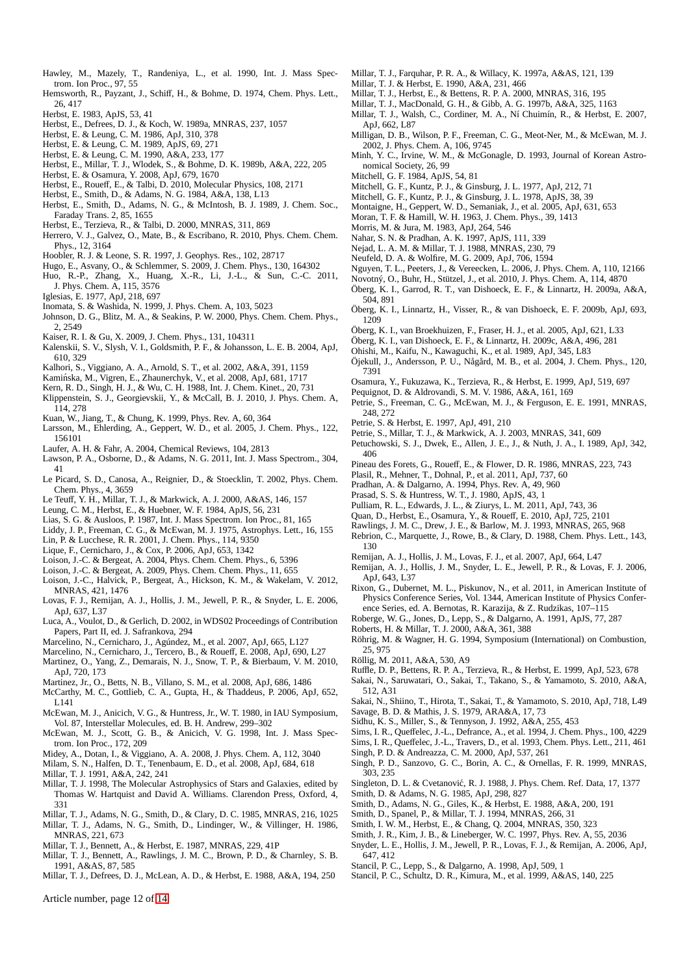- <span id="page-11-35"></span>Hawley, M., Mazely, T., Randeniya, L., et al. 1990, Int. J. Mass Spectrom. Ion Proc., 97, 55
- <span id="page-11-36"></span>Hemsworth, R., Payzant, J., Schiff, H., & Bohme, D. 1974, Chem. Phys. Lett., 26, 417
- <span id="page-11-37"></span>Herbst, E. 1983, ApJS, 53, 41
- <span id="page-11-39"></span>Herbst, E., Defrees, D. J., & Koch, W. 1989a, MNRAS, 237, 1057
- <span id="page-11-7"></span>Herbst, E. & Leung, C. M. 1986, ApJ, 310, 378
- <span id="page-11-40"></span>Herbst, E. & Leung, C. M. 1989, ApJS, 69, 271
- <span id="page-11-43"></span>Herbst, E. & Leung, C. M. 1990, A&A, 233, 177
- <span id="page-11-41"></span>Herbst, E., Millar, T. J., Wlodek, S., & Bohme, D. K. 1989b, A&A, 222, 205
- <span id="page-11-45"></span>Herbst, E. & Osamura, Y. 2008, ApJ, 679, 1670
- <span id="page-11-17"></span>Herbst, E., Roueff, E., & Talbi, D. 2010, Molecular Physics, 108, 2171
- <span id="page-11-38"></span>Herbst, E., Smith, D., & Adams, N. G. 1984, A&A, 138, L13
- <span id="page-11-42"></span>Herbst, E., Smith, D., Adams, N. G., & McIntosh, B. J. 1989, J. Chem. Soc., Faraday Trans. 2, 85, 1655
- <span id="page-11-44"></span>Herbst, E., Terzieva, R., & Talbi, D. 2000, MNRAS, 311, 869
- <span id="page-11-46"></span>Herrero, V. J., Galvez, O., Mate, B., & Escribano, R. 2010, Phys. Chem. Chem. Phys., 12, 3164
- <span id="page-11-47"></span>Hoobler, R. J. & Leone, S. R. 1997, J. Geophys. Res., 102, 28717
- <span id="page-11-13"></span>Hugo, E., Asvany, O., & Schlemmer, S. 2009, J. Chem. Phys., 130, 164302
- <span id="page-11-48"></span>Huo, R.-P., Zhang, X., Huang, X.-R., Li, J.-L., & Sun, C.-C. 2011, J. Phys. Chem. A, 115, 3576
- <span id="page-11-49"></span>Iglesias, E. 1977, ApJ, 218, 697
- <span id="page-11-50"></span>Inomata, S. & Washida, N. 1999, J. Phys. Chem. A, 103, 5023
- <span id="page-11-51"></span>Johnson, D. G., Blitz, M. A., & Seakins, P. W. 2000, Phys. Chem. Chem. Phys., 2, 2549
- <span id="page-11-52"></span>Kaiser, R. I. & Gu, X. 2009, J. Chem. Phys., 131, 104311
- <span id="page-11-20"></span>Kalenskii, S. V., Slysh, V. I., Goldsmith, P. F., & Johansson, L. E. B. 2004, ApJ, 610, 329
- <span id="page-11-53"></span>Kalhori, S., Viggiano, A. A., Arnold, S. T., et al. 2002, A&A, 391, 1159
- <span id="page-11-54"></span>Kamińska, M., Vigren, E., Zhaunerchyk, V., et al. 2008, ApJ, 681, 1717
- <span id="page-11-55"></span>Kern, R. D., Singh, H. J., & Wu, C. H. 1988, Int. J. Chem. Kinet., 20, 731
- <span id="page-11-56"></span>Klippenstein, S. J., Georgievskii, Y., & McCall, B. J. 2010, J. Phys. Chem. A, 114, 278
- <span id="page-11-57"></span>Kuan, W., Jiang, T., & Chung, K. 1999, Phys. Rev. A, 60, 364
- <span id="page-11-58"></span>Larsson, M., Ehlerding, A., Geppert, W. D., et al. 2005, J. Chem. Phys., 122, 156101
- <span id="page-11-59"></span>Laufer, A. H. & Fahr, A. 2004, Chemical Reviews, 104, 2813
- <span id="page-11-60"></span>Lawson, P. A., Osborne, D., & Adams, N. G. 2011, Int. J. Mass Spectrom., 304, 41
- <span id="page-11-61"></span>Le Picard, S. D., Canosa, A., Reignier, D., & Stoecklin, T. 2002, Phys. Chem. Chem. Phys., 4, 3659
- <span id="page-11-2"></span>Le Teuff, Y. H., Millar, T. J., & Markwick, A. J. 2000, A&AS, 146, 157
- <span id="page-11-62"></span>Leung, C. M., Herbst, E., & Huebner, W. F. 1984, ApJS, 56, 231
- <span id="page-11-63"></span>Lias, S. G. & Ausloos, P. 1987, Int. J. Mass Spectrom. Ion Proc., 81, 165
- <span id="page-11-64"></span>Liddy, J. P., Freeman, C. G., & McEwan, M. J. 1975, Astrophys. Lett., 16, 155
- <span id="page-11-65"></span>Lin, P. & Lucchese, R. R. 2001, J. Chem. Phys., 114, 9350
- <span id="page-11-22"></span>Lique, F., Cernicharo, J., & Cox, P. 2006, ApJ, 653, 1342
- <span id="page-11-66"></span>Loison, J.-C. & Bergeat, A. 2004, Phys. Chem. Chem. Phys., 6, 5396
- <span id="page-11-6"></span>Loison, J.-C. & Bergeat, A. 2009, Phys. Chem. Chem. Phys., 11, 655
- <span id="page-11-18"></span>Loison, J.-C., Halvick, P., Bergeat, A., Hickson, K. M., & Wakelam, V. 2012, MNRAS, 421, 1476
- <span id="page-11-23"></span>Lovas, F. J., Remijan, A. J., Hollis, J. M., Jewell, P. R., & Snyder, L. E. 2006, ApJ, 637, L37
- <span id="page-11-67"></span>Luca, A., Voulot, D., & Gerlich, D. 2002, in WDS02 Proceedings of Contribution Papers, Part II, ed. J. Safrankova, 294
- <span id="page-11-26"></span>Marcelino, N., Cernicharo, J., Agúndez, M., et al. 2007, ApJ, 665, L127
- <span id="page-11-10"></span>Marcelino, N., Cernicharo, J., Tercero, B., & Roueff, E. 2008, ApJ, 690, L27
- <span id="page-11-69"></span>Martinez, O., Yang, Z., Demarais, N. J., Snow, T. P., & Bierbaum, V. M. 2010, ApJ, 720, 173
- <span id="page-11-68"></span>Martinez, Jr., O., Betts, N. B., Villano, S. M., et al. 2008, ApJ, 686, 1486
- <span id="page-11-3"></span>McCarthy, M. C., Gottlieb, C. A., Gupta, H., & Thaddeus, P. 2006, ApJ, 652, L141
- <span id="page-11-70"></span>McEwan, M. J., Anicich, V. G., & Huntress, Jr., W. T. 1980, in IAU Symposium, Vol. 87, Interstellar Molecules, ed. B. H. Andrew, 299–302
- <span id="page-11-71"></span>McEwan, M. J., Scott, G. B., & Anicich, V. G. 1998, Int. J. Mass Spectrom. Ion Proc., 172, 209
- <span id="page-11-72"></span>Midey, A., Dotan, I., & Viggiano, A. A. 2008, J. Phys. Chem. A, 112, 3040
- <span id="page-11-32"></span>Milam, S. N., Halfen, D. T., Tenenbaum, E. D., et al. 2008, ApJ, 684, 618
- <span id="page-11-78"></span>Millar, T. J. 1991, A&A, 242, 241

Article number, page 12 of 14

- <span id="page-11-28"></span>Millar, T. J. 1998, The Molecular Astrophysics of Stars and Galaxies, edited by Thomas W. Hartquist and David A. Williams. Clarendon Press, Oxford, 4, 331
- <span id="page-11-73"></span>Millar, T. J., Adams, N. G., Smith, D., & Clary, D. C. 1985, MNRAS, 216, 1025
- <span id="page-11-74"></span>Millar, T. J., Adams, N. G., Smith, D., Lindinger, W., & Villinger, H. 1986, MNRAS, 221, 673
- <span id="page-11-75"></span>Millar, T. J., Bennett, A., & Herbst, E. 1987, MNRAS, 229, 41P
- <span id="page-11-0"></span>Millar, T. J., Bennett, A., Rawlings, J. M. C., Brown, P. D., & Charnley, S. B. 1991, A&AS, 87, 585
- <span id="page-11-76"></span>Millar, T. J., Defrees, D. J., McLean, A. D., & Herbst, E. 1988, A&A, 194, 250

<span id="page-11-1"></span>Millar, T. J., Farquhar, P. R. A., & Willacy, K. 1997a, A&AS, 121, 139

- <span id="page-11-77"></span>Millar, T. J. & Herbst, E. 1990, A&A, 231, 466
- <span id="page-11-29"></span>Millar, T. J., Herbst, E., & Bettens, R. P. A. 2000, MNRAS, 316, 195
- <span id="page-11-79"></span><span id="page-11-8"></span>Millar, T. J., MacDonald, G. H., & Gibb, A. G. 1997b, A&A, 325, 1163 Millar, T. J., Walsh, C., Cordiner, M. A., Ní Chuimín, R., & Herbst, E. 2007,
- ApJ, 662, L87 Milligan, D. B., Wilson, P. F., Freeman, C. G., Meot-Ner, M., & McEwan, M. J.
- <span id="page-11-80"></span>2002, J. Phys. Chem. A, 106, 9745
- <span id="page-11-27"></span>Minh, Y. C., Irvine, W. M., & McGonagle, D. 1993, Journal of Korean Astronomical Society, 26, 99
- <span id="page-11-83"></span>Mitchell, G. F. 1984, ApJS, 54, 81
- <span id="page-11-81"></span>Mitchell, G. F., Kuntz, P. J., & Ginsburg, J. L. 1977, ApJ, 212, 71
- <span id="page-11-82"></span>Mitchell, G. F., Kuntz, P. J., & Ginsburg, J. L. 1978, ApJS, 38, 39
- <span id="page-11-84"></span>Montaigne, H., Geppert, W. D., Semaniak, J., et al. 2005, ApJ, 631, 653
- <span id="page-11-85"></span>Moran, T. F. & Hamill, W. H. 1963, J. Chem. Phys., 39, 1413
- <span id="page-11-31"></span>Morris, M. & Jura, M. 1983, ApJ, 264, 546
- <span id="page-11-86"></span>Nahar, S. N. & Pradhan, A. K. 1997, ApJS, 111, 339
- <span id="page-11-87"></span>Nejad, L. A. M. & Millar, T. J. 1988, MNRAS, 230, 79
- <span id="page-11-88"></span>Neufeld, D. A. & Wolfire, M. G. 2009, ApJ, 706, 1594
- <span id="page-11-89"></span>Nguyen, T. L., Peeters, J., & Vereecken, L. 2006, J. Phys. Chem. A, 110, 12166
- <span id="page-11-90"></span>Novotný, O., Buhr, H., Stützel, J., et al. 2010, J. Phys. Chem. A, 114, 4870
- <span id="page-11-92"></span>Öberg, K. I., Garrod, R. T., van Dishoeck, E. F., & Linnartz, H. 2009a, A&A, 504, 891
- <span id="page-11-15"></span>Öberg, K. I., Linnartz, H., Visser, R., & van Dishoeck, E. F. 2009b, ApJ, 693, 1209
- <span id="page-11-91"></span>Öberg, K. I., van Broekhuizen, F., Fraser, H. J., et al. 2005, ApJ, 621, L33
- <span id="page-11-16"></span>Öberg, K. I., van Dishoeck, E. F., & Linnartz, H. 2009c, A&A, 496, 281
- <span id="page-11-33"></span>Ohishi, M., Kaifu, N., Kawaguchi, K., et al. 1989, ApJ, 345, L83
- <span id="page-11-93"></span>Öjekull, J., Andersson, P. U., Någård, M. B., et al. 2004, J. Chem. Phys., 120, 7391
- <span id="page-11-94"></span>Osamura, Y., Fukuzawa, K., Terzieva, R., & Herbst, E. 1999, ApJ, 519, 697
- <span id="page-11-95"></span>Pequignot, D. & Aldrovandi, S. M. V. 1986, A&A, 161, 169
- <span id="page-11-96"></span>Petrie, S., Freeman, C. G., McEwan, M. J., & Ferguson, E. E. 1991, MNRAS, 248, 272
- <span id="page-11-98"></span>Petrie, S. & Herbst, E. 1997, ApJ, 491, 210
- <span id="page-11-97"></span>Petrie, S., Millar, T. J., & Markwick, A. J. 2003, MNRAS, 341, 609
- <span id="page-11-99"></span>Petuchowski, S. J., Dwek, E., Allen, J. E., J., & Nuth, J. A., I. 1989, ApJ, 342, 406
- <span id="page-11-100"></span>Pineau des Forets, G., Roueff, E., & Flower, D. R. 1986, MNRAS, 223, 743
- <span id="page-11-101"></span>Plasil, R., Mehner, T., Dohnal, P., et al. 2011, ApJ, 737, 60
- <span id="page-11-102"></span>Pradhan, A. & Dalgarno, A. 1994, Phys. Rev. A, 49, 960
- <span id="page-11-103"></span>Prasad, S. S. & Huntress, W. T., J. 1980, ApJS, 43, 1

<span id="page-11-12"></span>Roberts, H. & Millar, T. J. 2000, A&A, 361, 388

<span id="page-11-30"></span>Savage, B. D. & Mathis, J. S. 1979, ARA&A, 17, 73 Sidhu, K. S., Miller, S., & Tennyson, J. 1992, A&A, 255, 453

<span id="page-11-113"></span><span id="page-11-110"></span>Singh, P. D. & Andreazza, C. M. 2000, ApJ, 537, 261

<span id="page-11-119"></span>Stancil, P. C., Lepp, S., & Dalgarno, A. 1998, ApJ, 509, 1

<span id="page-11-115"></span>Smith, D. & Adams, N. G. 1985, ApJ, 298, 827

<span id="page-11-9"></span>Röllig, M. 2011, A&A, 530, A9

25, 975

512, A31

303, 235

<span id="page-11-118"></span><span id="page-11-25"></span>647, 412

- <span id="page-11-34"></span>Pulliam, R. L., Edwards, J. L., & Ziurys, L. M. 2011, ApJ, 743, 36
- <span id="page-11-11"></span>Quan, D., Herbst, E., Osamura, Y., & Roueff, E. 2010, ApJ, 725, 2101
- <span id="page-11-104"></span>Rawlings, J. M. C., Drew, J. E., & Barlow, M. J. 1993, MNRAS, 265, 968
- <span id="page-11-105"></span>Rebrion, C., Marquette, J., Rowe, B., & Clary, D. 1988, Chem. Phys. Lett., 143, 130
- <span id="page-11-4"></span>Remijan, A. J., Hollis, J. M., Lovas, F. J., et al. 2007, ApJ, 664, L47
- <span id="page-11-24"></span>Remijan, A. J., Hollis, J. M., Snyder, L. E., Jewell, P. R., & Lovas, F. J. 2006, ApJ, 643, L37
- <span id="page-11-14"></span>Rixon, G., Dubernet, M. L., Piskunov, N., et al. 2011, in American Institute of Physics Conference Series, Vol. 1344, American Institute of Physics Conference Series, ed. A. Bernotas, R. Karazija, & Z. Rudzikas, 107–115

<span id="page-11-107"></span>Röhrig, M. & Wagner, H. G. 1994, Symposium (International) on Combustion,

<span id="page-11-108"></span><span id="page-11-21"></span>Ruffle, D. P., Bettens, R. P. A., Terzieva, R., & Herbst, E. 1999, ApJ, 523, 678 Sakai, N., Saruwatari, O., Sakai, T., Takano, S., & Yamamoto, S. 2010, A&A,

<span id="page-11-5"></span>Sakai, N., Shiino, T., Hirota, T., Sakai, T., & Yamamoto, S. 2010, ApJ, 718, L49

<span id="page-11-111"></span><span id="page-11-109"></span>Sims, I. R., Queffelec, J.-L., Defrance, A., et al. 1994, J. Chem. Phys., 100, 4229 Sims, I. R., Queffelec, J.-L., Travers, D., et al. 1993, Chem. Phys. Lett., 211, 461

<span id="page-11-112"></span>Singh, P. D., Sanzovo, G. C., Borin, A. C., & Ornellas, F. R. 1999, MNRAS,

<span id="page-11-114"></span>Singleton, D. L. & Cvetanović, R. J. 1988, J. Phys. Chem. Ref. Data, 17, 1377

<span id="page-11-117"></span><span id="page-11-116"></span><span id="page-11-19"></span>Smith, D., Adams, N. G., Giles, K., & Herbst, E. 1988, A&A, 200, 191 Smith, D., Spanel, P., & Millar, T. J. 1994, MNRAS, 266, 31 Smith, I. W. M., Herbst, E., & Chang, Q. 2004, MNRAS, 350, 323 Smith, J. R., Kim, J. B., & Lineberger, W. C. 1997, Phys. Rev. A, 55, 2036 Snyder, L. E., Hollis, J. M., Jewell, P. R., Lovas, F. J., & Remijan, A. 2006, ApJ,

<span id="page-11-120"></span>Stancil, P. C., Schultz, D. R., Kimura, M., et al. 1999, A&AS, 140, 225

<span id="page-11-106"></span>Roberge, W. G., Jones, D., Lepp, S., & Dalgarno, A. 1991, ApJS, 77, 287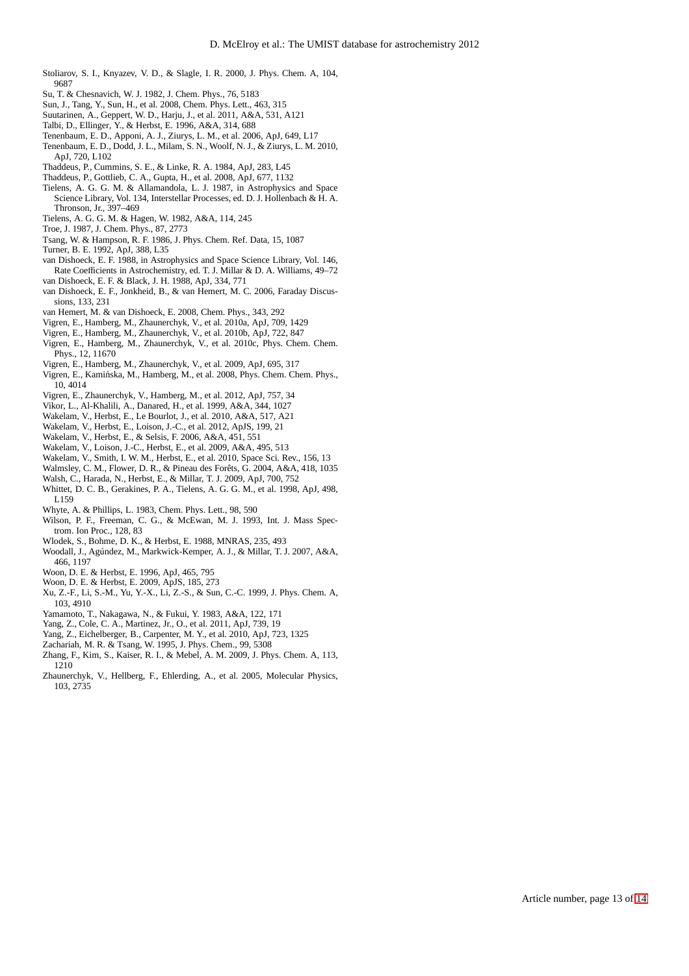- <span id="page-12-19"></span>Stoliarov, S. I., Knyazev, V. D., & Slagle, I. R. 2000, J. Phys. Chem. A, 104, 9687
- <span id="page-12-4"></span>Su, T. & Chesnavich, W. J. 1982, J. Chem. Phys., 76, 5183
- <span id="page-12-20"></span>Sun, J., Tang, Y., Sun, H., et al. 2008, Chem. Phys. Lett., 463, 315
- <span id="page-12-13"></span>Suutarinen, A., Geppert, W. D., Harju, J., et al. 2011, A&A, 531, A121
- <span id="page-12-21"></span>Talbi, D., Ellinger, Y., & Herbst, E. 1996, A&A, 314, 688
- <span id="page-12-17"></span>Tenenbaum, E. D., Apponi, A. J., Ziurys, L. M., et al. 2006, ApJ, 649, L17
- <span id="page-12-18"></span>Tenenbaum, E. D., Dodd, J. L., Milam, S. N., Woolf, N. J., & Ziurys, L. M. 2010, ApJ, 720, L102
- <span id="page-12-15"></span>Thaddeus, P., Cummins, S. E., & Linke, R. A. 1984, ApJ, 283, L45
- <span id="page-12-14"></span>Thaddeus, P., Gottlieb, C. A., Gupta, H., et al. 2008, ApJ, 677, 1132
- <span id="page-12-7"></span>Tielens, A. G. G. M. & Allamandola, L. J. 1987, in Astrophysics and Space Science Library, Vol. 134, Interstellar Processes, ed. D. J. Hollenbach & H. A. Thronson, Jr., 397–469
- <span id="page-12-22"></span>Tielens, A. G. G. M. & Hagen, W. 1982, A&A, 114, 245
- <span id="page-12-2"></span>Troe, J. 1987, J. Chem. Phys., 87, 2773
- <span id="page-12-23"></span>Tsang, W. & Hampson, R. F. 1986, J. Phys. Chem. Ref. Data, 15, 1087
- <span id="page-12-16"></span>Turner, B. E. 1992, ApJ, 388, L35
- <span id="page-12-26"></span>van Dishoeck, E. F. 1988, in Astrophysics and Space Science Library, Vol. 146, Rate Coefficients in Astrochemistry, ed. T. J. Millar & D. A. Williams, 49–72
- <span id="page-12-25"></span><span id="page-12-24"></span>van Dishoeck, E. F. & Black, J. H. 1988, ApJ, 334, 771 van Dishoeck, E. F., Jonkheid, B., & van Hemert, M. C. 2006, Faraday Discussions, 133, 231
- <span id="page-12-5"></span>van Hemert, M. & van Dishoeck, E. 2008, Chem. Phys., 343, 292
- <span id="page-12-12"></span>Vigren, E., Hamberg, M., Zhaunerchyk, V., et al. 2010a, ApJ, 709, 1429
- <span id="page-12-29"></span>Vigren, E., Hamberg, M., Zhaunerchyk, V., et al. 2010b, ApJ, 722, 847
- <span id="page-12-30"></span>Vigren, E., Hamberg, M., Zhaunerchyk, V., et al. 2010c, Phys. Chem. Chem. Phys., 12, 11670
- <span id="page-12-28"></span>Vigren, E., Hamberg, M., Zhaunerchyk, V., et al. 2009, ApJ, 695, 317
- <span id="page-12-27"></span>Vigren, E., Kaminska, M., Hamberg, M., et al. 2008, Phys. Chem. Chem. Phys., ´ 10, 4014
- <span id="page-12-31"></span>Vigren, E., Zhaunerchyk, V., Hamberg, M., et al. 2012, ApJ, 757, 34
- <span id="page-12-32"></span>Vikor, L., Al-Khalili, A., Danared, H., et al. 1999, A&A, 344, 1027
- <span id="page-12-9"></span>Wakelam, V., Herbst, E., Le Bourlot, J., et al. 2010, A&A, 517, A21
- <span id="page-12-11"></span>Wakelam, V., Herbst, E., Loison, J.-C., et al. 2012, ApJS, 199, 21
- <span id="page-12-10"></span>Wakelam, V., Herbst, E., & Selsis, F. 2006, A&A, 451, 551
- <span id="page-12-33"></span>Wakelam, V., Loison, J.-C., Herbst, E., et al. 2009, A&A, 495, 513
- <span id="page-12-34"></span>Wakelam, V., Smith, I. W. M., Herbst, E., et al. 2010, Space Sci. Rev., 156, 13
- <span id="page-12-6"></span>Walmsley, C. M., Flower, D. R., & Pineau des Forêts, G. 2004, A&A, 418, 1035
- <span id="page-12-1"></span>Walsh, C., Harada, N., Herbst, E., & Millar, T. J. 2009, ApJ, 700, 752
- <span id="page-12-8"></span>Whittet, D. C. B., Gerakines, P. A., Tielens, A. G. G. M., et al. 1998, ApJ, 498, L159
- <span id="page-12-35"></span>Whyte, A. & Phillips, L. 1983, Chem. Phys. Lett., 98, 590
- <span id="page-12-36"></span>Wilson, P. F., Freeman, C. G., & McEwan, M. J. 1993, Int. J. Mass Spectrom. Ion Proc., 128, 83
- <span id="page-12-37"></span>Wlodek, S., Bohme, D. K., & Herbst, E. 1988, MNRAS, 235, 493
- <span id="page-12-0"></span>Woodall, J., Agúndez, M., Markwick-Kemper, A. J., & Millar, T. J. 2007, A&A, 466, 1197
- <span id="page-12-38"></span>Woon, D. E. & Herbst, E. 1996, ApJ, 465, 795
- <span id="page-12-3"></span>Woon, D. E. & Herbst, E. 2009, ApJS, 185, 273
- <span id="page-12-39"></span>Xu, Z.-F., Li, S.-M., Yu, Y.-X., Li, Z.-S., & Sun, C.-C. 1999, J. Phys. Chem. A, 103, 4910
- <span id="page-12-40"></span>Yamamoto, T., Nakagawa, N., & Fukui, Y. 1983, A&A, 122, 171
- <span id="page-12-42"></span>Yang, Z., Cole, C. A., Martinez, Jr., O., et al. 2011, ApJ, 739, 19
- <span id="page-12-41"></span>Yang, Z., Eichelberger, B., Carpenter, M. Y., et al. 2010, ApJ, 723, 1325
- <span id="page-12-43"></span>Zachariah, M. R. & Tsang, W. 1995, J. Phys. Chem., 99, 5308
- <span id="page-12-44"></span>Zhang, F., Kim, S., Kaiser, R. I., & Mebel, A. M. 2009, J. Phys. Chem. A, 113, 1210
- <span id="page-12-45"></span>Zhaunerchyk, V., Hellberg, F., Ehlerding, A., et al. 2005, Molecular Physics, 103, 2735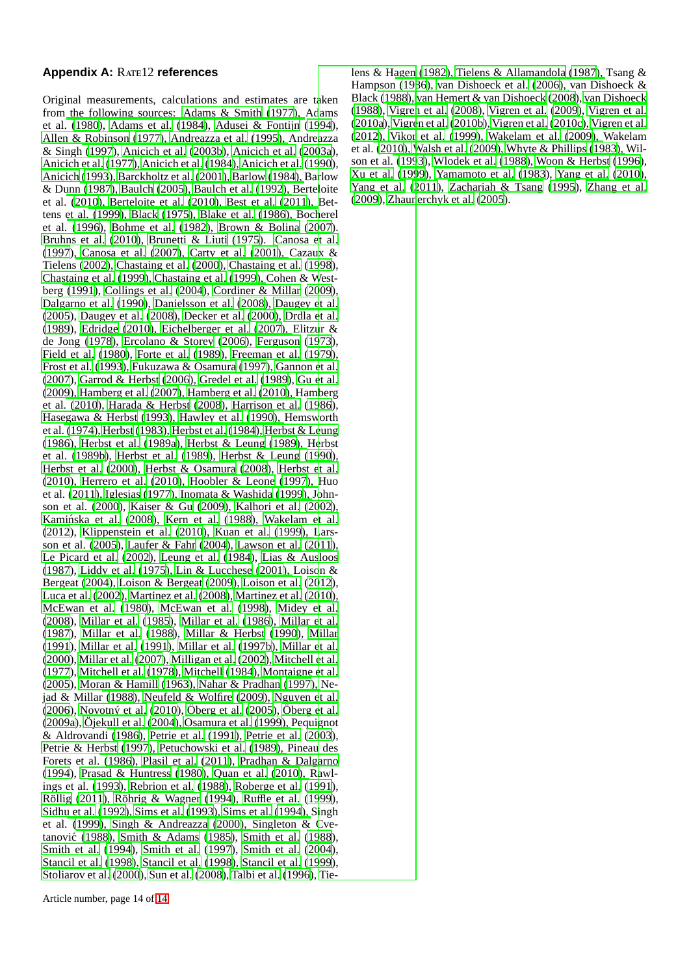## <span id="page-13-0"></span>**Appendix A: RATE12 references**

Original measurements, calculations and estimates are taken from [the following sources:](#page-9-23) [Adams & Smith](#page-9-22)[\(1977](#page-9-22)[\),](#page-9-23) Adams et al. [\(1980](#page-9-23)), [Adams et al. \(1984](#page-9-24)), [Adusei & Fontijn \(1994](#page-9-25)), [Allen & Robinson \(1977](#page-9-8)[\),](#page-9-27) [Andreazza et al. \(1995](#page-9-26)[\),](#page-9-27) Andreazza & Singh [\(1997](#page-9-27)), [Anicich et al. \(2003b](#page-9-28)), [Anicich et al.](#page-9-29) [\(2003a](#page-9-29)), [Anicich et al.](#page-9-30) [\(1977\)](#page-9-30), [Anicich et al. \(1984\)](#page-9-31), [Anicich et al. \(1990](#page-9-32)), [Anicich](#page-9-33)[\(1993](#page-9-33)[\),](#page-9-36) [Barckholtz et al. \(2001](#page-9-34)[\),](#page-9-36) [Barlow](#page-9-35)[\(1984](#page-9-35)[\),](#page-9-36) Barlow & Dunn [\(1987\)](#page-9-36), [Baulch](#page-9-10) [\(2005\)](#page-9-10), [Baulch et al. \(1992](#page-9-9)), Berteloite et al. [\(2010](#page-9-1)[\),](#page-9-37) [Berteloite et al.](#page-9-1)[\(2010](#page-9-1)[\),](#page-9-37) [Best et al.](#page-9-15)[\(2011](#page-9-15)[\),](#page-9-37) Bettens [et al.](#page-9-40) [\(1999](#page-9-37)[\),](#page-9-40) [Black](#page-9-38)[\(1975](#page-9-38)[\),](#page-9-40) [Blake et al.](#page-9-39)[\(1986](#page-9-39)[\),](#page-9-40) Bocherel et al. [\(1996\)](#page-9-40), [Bohme et al. \(1982](#page-9-41)), [Brown & Bolina \(2007](#page-9-42)). [Bruhns et al. \(2010](#page-9-43)), [Brunetti & Liuti \(1975](#page-9-44)). [Canosa et al.](#page-9-45) [\(1997](#page-9-45))[,](#page-9-46) [Canosa et al. \(2007\)](#page-9-2)[,](#page-9-46) [Carty et al. \(2001](#page-9-3)[\),](#page-9-46) Cazaux & Tielens [\(2002](#page-9-46)), [Chastaing et al. \(2000](#page-10-31)), [Chastaing et al. \(1998](#page-10-32)), [Chastaing et al.](#page-10-33)[\(1999](#page-10-33)[\),](#page-10-34) [Chastaing et al. \(1999](#page-10-33)[\),](#page-10-34) Cohen & Westberg [\(1991](#page-10-34)), [Collings et al. \(2004](#page-10-10)), [Cordiner & Millar \(2009](#page-10-17)), [Dalgarno et al. \(1990](#page-10-35)), [Danielsson et al. \(2008](#page-10-36)), [Daugey et al.](#page-10-37) [\(2005](#page-10-37)), [Daugey et al.](#page-10-38) [\(2008\)](#page-10-38), [Decker et al. \(2000](#page-10-39)), [Drdla et al.](#page-10-40) [\(1989](#page-10-40)), [Edridge \(2010\)](#page-10-11)[,](#page-10-42) [Eichelberger et al.](#page-10-41)[\(2007](#page-10-41)[\),](#page-10-42) Elitzur & de Jong [\(1978\)](#page-10-42), [Ercolano & Storey](#page-10-43) [\(2006\)](#page-10-43), [Ferguson \(1973](#page-10-44)), [Field et al.](#page-10-45) [\(1980\)](#page-10-45), [Forte et al. \(1989\)](#page-10-46), [Freeman et al. \(1979](#page-10-47)), [Frost et al.](#page-10-48) [\(1993\)](#page-10-48), [Fukuzawa & Osamura](#page-10-49) [\(1997\)](#page-10-49), [Gannon et al.](#page-10-50) [\(2007](#page-10-50)), [Garrod & Herbst](#page-10-8) [\(2006\)](#page-10-8), [Gredel et al. \(1989\)](#page-10-0), [Gu et al.](#page-10-51) [\(2009](#page-10-51)[\),](#page-10-14) [Hamberg et al. \(2007\)](#page-10-52)[, Hamberg et al. \(2010\),](#page-10-14) Hamberg et al. [\(2010](#page-10-14)), [Harada & Herbst \(2008](#page-10-53)), [Harrison et al. \(1986](#page-10-54)), [Hasegawa & Herbst \(1993\)](#page-10-9)[,](#page-11-36) [Hawley et al. \(1990](#page-11-35)[\),](#page-11-36) Hemsworth et al. [\(1974](#page-11-36)), [Herbst \(1983\)](#page-11-37), [Herbst et al.](#page-11-38) [\(1984\)](#page-11-38), [Herbst & Leung](#page-11-7) [\(1986](#page-11-7)[\),](#page-11-41) [Herbst et al.](#page-11-39)[\(1989a](#page-11-39)[\),](#page-11-41) [Herbst & Leung](#page-11-40)[\(1989](#page-11-40)[\),](#page-11-41) Herbst et al. [\(1989b\)](#page-11-41), [Herbst et al. \(1989](#page-11-42)), [Herbst & Leung \(1990](#page-11-43)), [Herbst et al. \(2000\)](#page-11-44), [Herbst & Osamura](#page-11-45) [\(2008\)](#page-11-45), [Herbst et al.](#page-11-17) [\(2010](#page-11-17)), [Herrero et al.](#page-11-46) [\(2010\)](#page-11-46), [Hoobler & Leone](#page-11-47) [\(1997\)](#page-11-47), Huo et al. [\(2011](#page-11-48)[\),](#page-11-51) [Iglesias](#page-11-49)[\(1977](#page-11-49)[\),](#page-11-51) [Inomata & Washida \(1999](#page-11-50)[\),](#page-11-51) Johnson et al. [\(2000\)](#page-11-51), [Kaiser & Gu](#page-11-52) [\(2009\)](#page-11-52), [Kalhori et al. \(2002](#page-11-53)), Kamińska et al. [\(2008](#page-11-54)), [Kern et al. \(1988](#page-11-55)), [Wakelam et al.](#page-12-11) [\(2012](#page-12-11)), [Klippenstein et al.](#page-11-56)[\(2010](#page-11-56)[\),](#page-11-58) [Kuan et al. \(1999\)](#page-11-57)[,](#page-11-58) Larsson et al. [\(2005\)](#page-11-58), [Laufer & Fahr](#page-11-59) [\(2004\)](#page-11-59), [Lawson et al. \(2011](#page-11-60)), [Le Picard et al.](#page-11-61) [\(2002](#page-11-61)), [Leung et al. \(1984\)](#page-11-62), [Lias & Ausloos](#page-11-63) [\(1987](#page-11-63)), [Liddy et al.](#page-11-64)[\(1975](#page-11-64)[\),](#page-11-66) [Lin & Lucchese \(2001](#page-11-65)[\),](#page-11-66) Loison & Bergeat [\(2004](#page-11-66)), [Loison & Bergeat \(2009](#page-11-6)), [Loison et al. \(2012](#page-11-18)), [Luca et al. \(2002](#page-11-67)), [Martinez et al. \(2008](#page-11-68)), [Martinez et al. \(2010](#page-11-69)), [McEwan et al. \(1980](#page-11-70)), [McEwan et al.](#page-11-71) [\(1998\)](#page-11-71), [Midey et al.](#page-11-72) [\(2008](#page-11-72)), [Millar et al. \(1985\)](#page-11-73), [Millar et al.](#page-11-74) [\(1986\)](#page-11-74), [Millar et](#page-11-75) al. [\(1987](#page-11-75)), [Millar et al.](#page-11-76) [\(1988\)](#page-11-76), [Millar & Herbst \(1990\)](#page-11-77), [Millar](#page-11-78) [\(1991](#page-11-78)), [Millar et al.](#page-11-0) [\(1991\)](#page-11-0), [Millar et al. \(1997b](#page-11-79)), [Millar et al.](#page-11-29) [\(2000](#page-11-29)), [Millar et al. \(2007](#page-11-8)), [Milligan et al. \(2002](#page-11-80)), [Mitchell et al.](#page-11-81) [\(1977](#page-11-81)), [Mitchell et al. \(1978](#page-11-82)), [Mitchell \(1984\)](#page-11-83), [Montaigne](#page-11-84) et al. [\(2005](#page-11-84)), [Moran & Hamill](#page-11-85)[\(1963](#page-11-85)[\),](#page-11-87) [Nahar & Pradhan \(1997\)](#page-11-86)[,](#page-11-87) Nejad & Millar [\(1988](#page-11-87)), [Neufeld & Wolfire \(2009\)](#page-11-88), [Nguyen et al.](#page-11-89) [\(2006](#page-11-89)), [Novotný et al.](#page-11-90) [\(2010\)](#page-11-90), [Öberg et al.](#page-11-91) [\(2005\)](#page-11-91), [Öberg et al.](#page-11-92) [\(2009a\)](#page-11-92), [Öjekull et al.](#page-11-93)[\(2004](#page-11-93)[\),](#page-11-95) [Osamura et al. \(1999](#page-11-94)[\),](#page-11-95) Pequignot & Aldrovandi [\(1986](#page-11-95)), [Petrie et al. \(1991](#page-11-96)), [Petrie et al. \(2003](#page-11-97)), [Petrie & Herbst \(1997](#page-11-98)[\),](#page-11-100) [Petuchowski et al.](#page-11-99)[\(1989](#page-11-99)[\),](#page-11-100) Pineau des Forets et al. [\(1986\)](#page-11-100), [Plasil et al. \(2011](#page-11-101)), [Pradhan & Dalgarno](#page-11-102) [\(1994](#page-11-102)), [Prasad & Huntress](#page-11-103)[\(1980](#page-11-103)[\),](#page-11-104) [Quan et al.](#page-11-11)[\(2010](#page-11-11)[\),](#page-11-104) Rawlings et al. [\(1993](#page-11-104)), [Rebrion et al. \(1988](#page-11-105)), [Roberge et al. \(1991](#page-11-106)), [Röllig \(2011](#page-11-9)), [Röhrig & Wagner \(1994](#page-11-107)), Ruffl[e et al. \(1999](#page-11-108)), [Sidhu et al. \(1992](#page-11-109)), [Sims et al. \(1993](#page-11-110)), [Sims et al. \(1994\)](#page-11-111), Singh et al. [\(1999](#page-11-112)[\),](#page-11-114) [Singh & Andreazza \(2000](#page-11-113)[\),](#page-11-114) Singleton & Cvetanovic [\(1988\)](#page-11-114), [Smith & Adams](#page-11-115) [\(1985\)](#page-11-115), [Smith et al. \(1988](#page-11-116)), ´ [Smith et al. \(1994](#page-11-117)), [Smith et al.](#page-11-118) [\(1997\)](#page-11-118), [Smith et al. \(2004](#page-11-19)), [Stancil et al. \(1998](#page-11-119)), [Stancil et al. \(1998](#page-11-119)), [Stancil et al. \(1999](#page-11-120)), [Stoliarov et al.](#page-12-19) [\(2000\)](#page-12-19), [Sun et al.](#page-12-20) [\(2008](#page-12-20)), [Talbi et al.](#page-12-21) [\(1996\)](#page-12-21), Tie[lens & Hagen \(1982\)](#page-12-22)[,](#page-12-23) [Tielens & Allamandola](#page-12-7)[\(1987](#page-12-7)[\),](#page-12-23) Tsang & Ham[pson](#page-12-25) [\(1986](#page-12-23)[\),](#page-12-25) [van Dishoeck et al.](#page-12-24)[\(2006](#page-12-24)[\),](#page-12-25) van Dishoeck & Black [\(1988](#page-12-25)), [van Hemert & van Dishoeck](#page-12-5) [\(2008\)](#page-12-5), [van Dishoeck](#page-12-26) [\(1988\)](#page-12-26), [Vigren et al.](#page-12-27) [\(2008\)](#page-12-27), [Vigren et al. \(2009](#page-12-28)), [Vigren et](#page-12-12) al. [\(2010a](#page-12-12)), [Vigren et al. \(2010b](#page-12-29)), [Vigren et al. \(2010c\)](#page-12-30), [Vigren et al.](#page-12-31) [\(2012](#page-12-31)[\),](#page-12-34) [Vikor et al.](#page-12-32)[\(1999](#page-12-32)[\),](#page-12-34) [Wakelam et al.](#page-12-33)[\(2009](#page-12-33)[\),](#page-12-34) Wakelam et al. [\(2010\)](#page-12-34)[,](#page-12-36) [Walsh et al.](#page-12-1)[\(2009](#page-12-1)[\),](#page-12-36) [Whyte & Phillips \(1983\)](#page-12-35)[,](#page-12-36) Wilson et al. [\(1993](#page-12-36)), [Wlodek et al.](#page-12-37) [\(1988\)](#page-12-37), [Woon & Herbst](#page-12-38) [\(1996\)](#page-12-38), [Xu et al.](#page-12-39) [\(1999\)](#page-12-39), [Yamamoto et al. \(1983](#page-12-40)), [Yang et al.](#page-12-41) [\(2010\)](#page-12-41), [Yang et al. \(2011\)](#page-12-42), [Zachariah & Tsang](#page-12-43) [\(1995\)](#page-12-43), [Zhang et al.](#page-12-44) [\(2009\)](#page-12-44), [Zhaunerchyk et al. \(2005](#page-12-45)).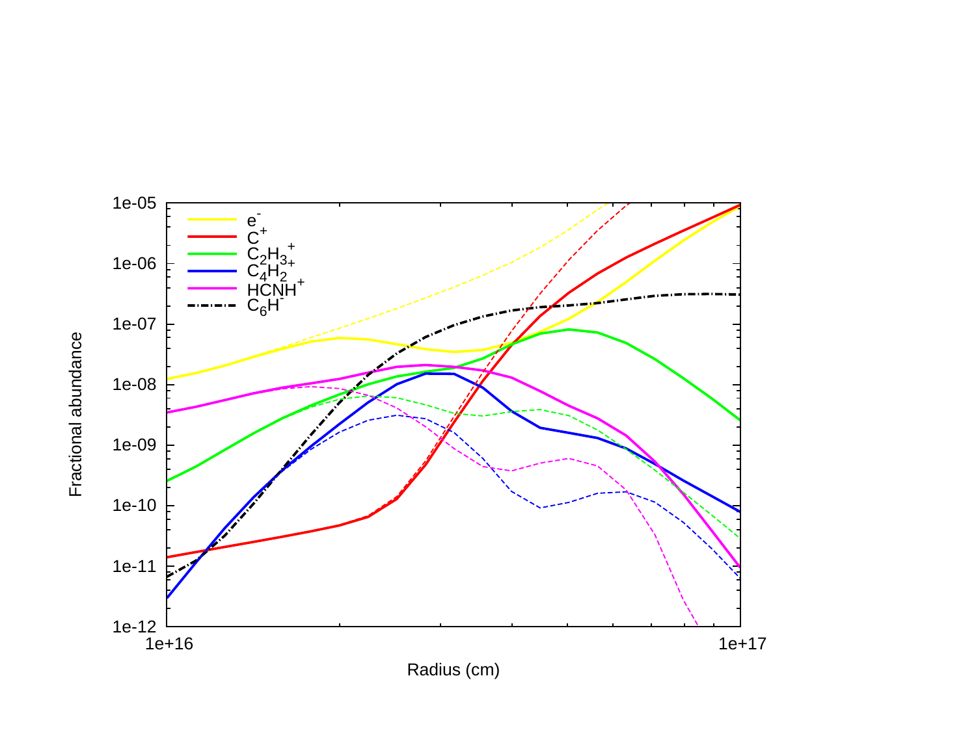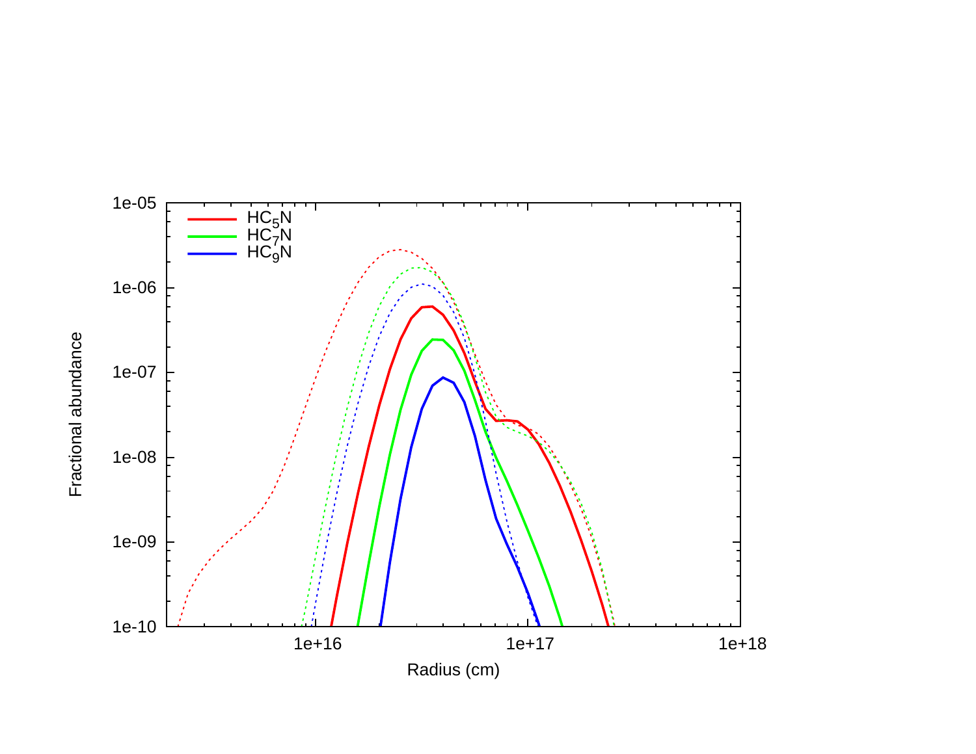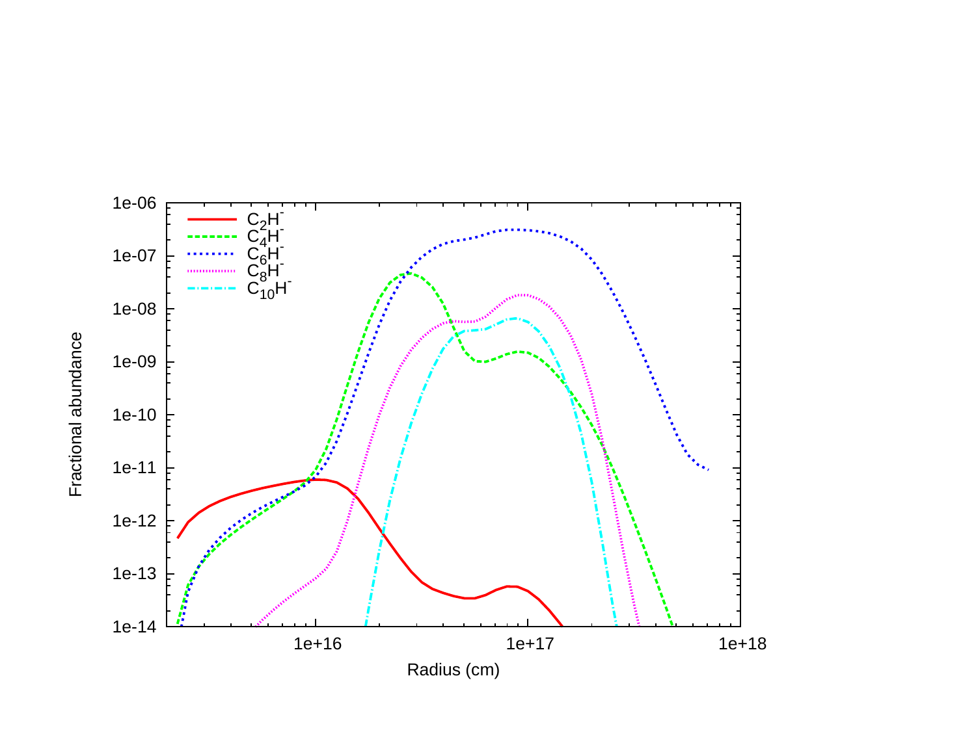